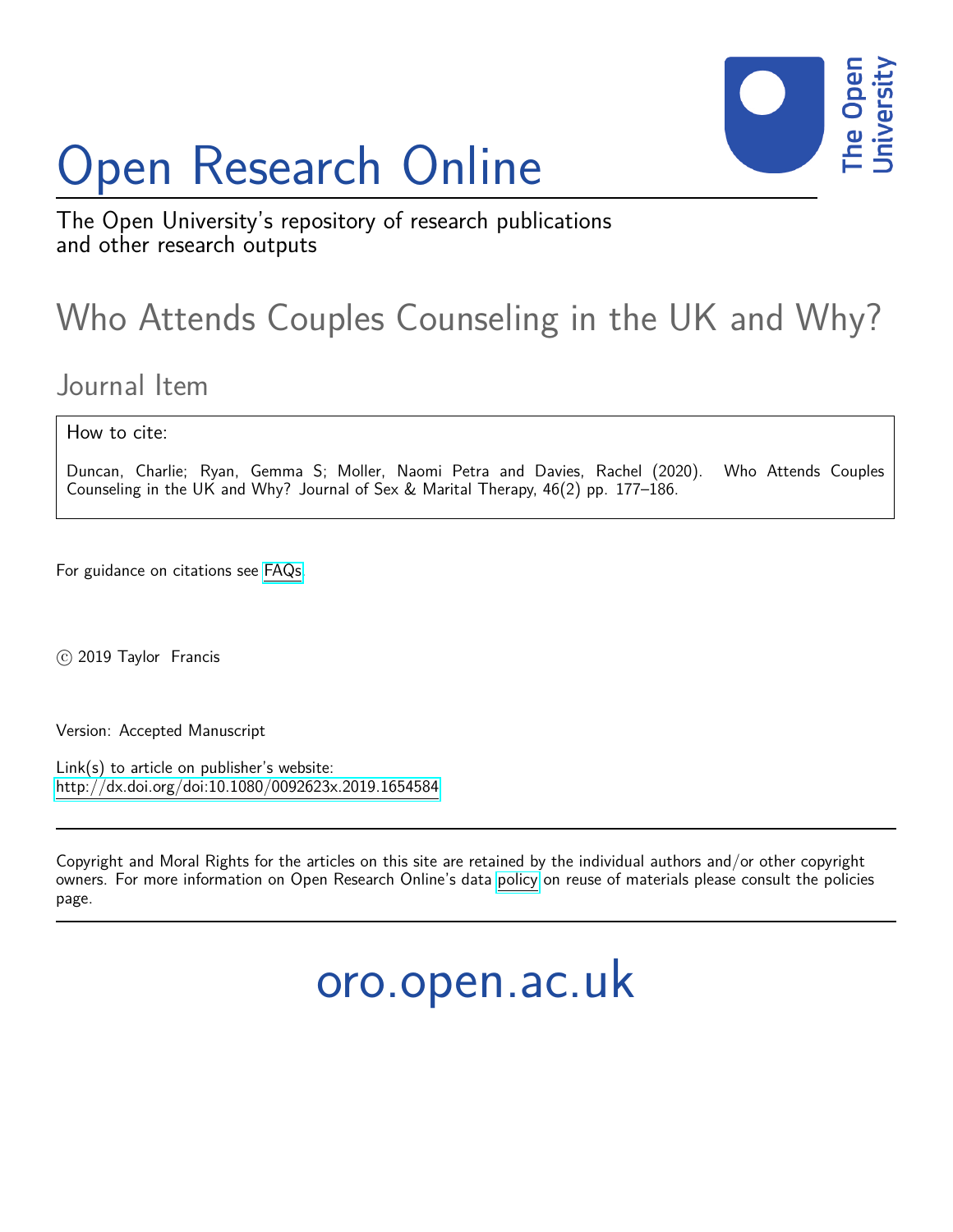# Open Research Online



The Open University's repository of research publications and other research outputs

# Who Attends Couples Counseling in the UK and Why?

# Journal Item

How to cite:

Duncan, Charlie; Ryan, Gemma S; Moller, Naomi Petra and Davies, Rachel (2020). Who Attends Couples Counseling in the UK and Why? Journal of Sex & Marital Therapy, 46(2) pp. 177–186.

For guidance on citations see [FAQs.](http://oro.open.ac.uk/help/helpfaq.html)

c 2019 Taylor Francis

Version: Accepted Manuscript

Link(s) to article on publisher's website: <http://dx.doi.org/doi:10.1080/0092623x.2019.1654584>

Copyright and Moral Rights for the articles on this site are retained by the individual authors and/or other copyright owners. For more information on Open Research Online's data [policy](http://oro.open.ac.uk/policies.html) on reuse of materials please consult the policies page.

oro.open.ac.uk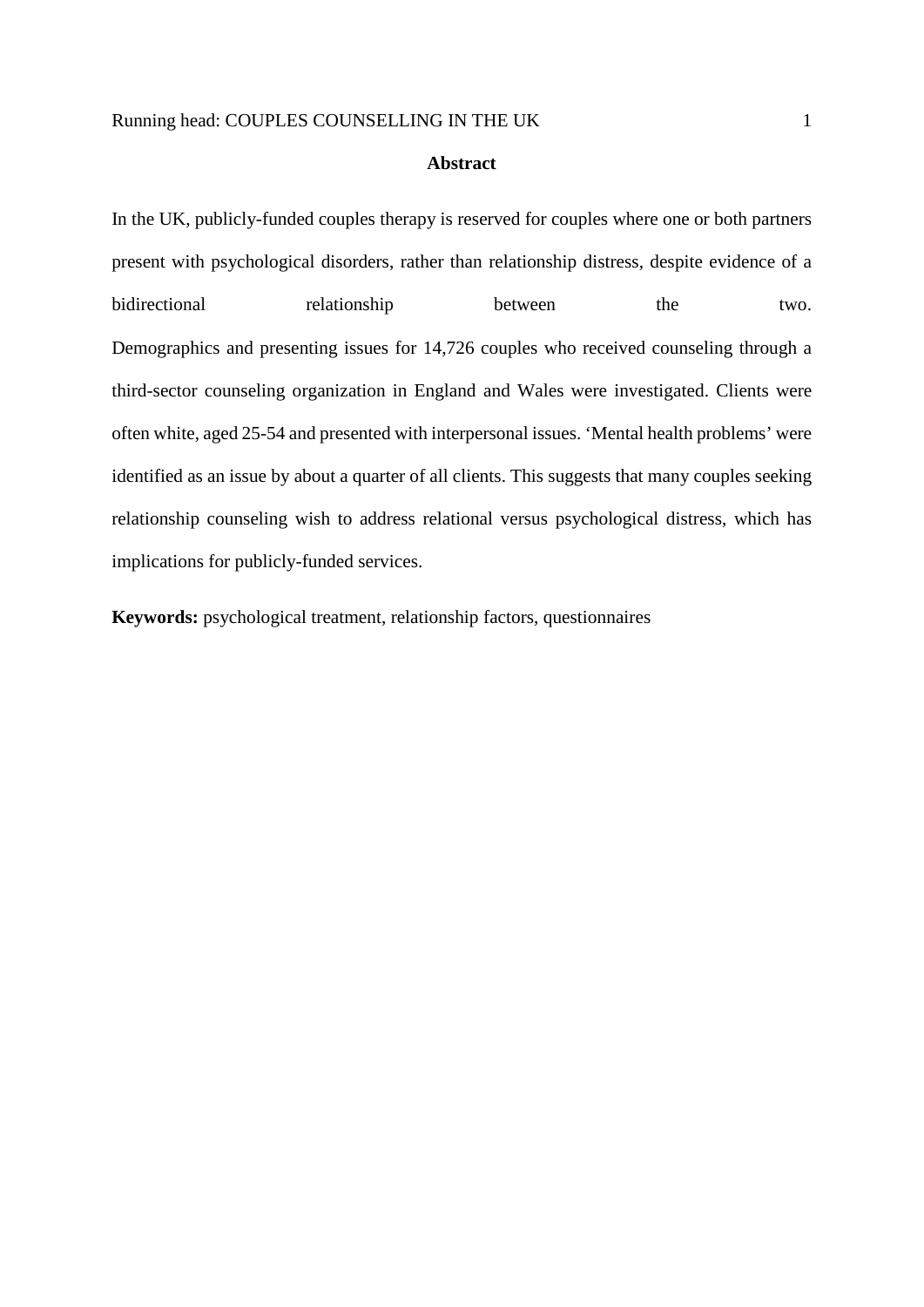# **Abstract**

In the UK, publicly-funded couples therapy is reserved for couples where one or both partners present with psychological disorders, rather than relationship distress, despite evidence of a bidirectional relationship between the two. Demographics and presenting issues for 14,726 couples who received counseling through a third-sector counseling organization in England and Wales were investigated. Clients were often white, aged 25-54 and presented with interpersonal issues. 'Mental health problems' were identified as an issue by about a quarter of all clients. This suggests that many couples seeking relationship counseling wish to address relational versus psychological distress, which has implications for publicly-funded services.

**Keywords:** psychological treatment, relationship factors, questionnaires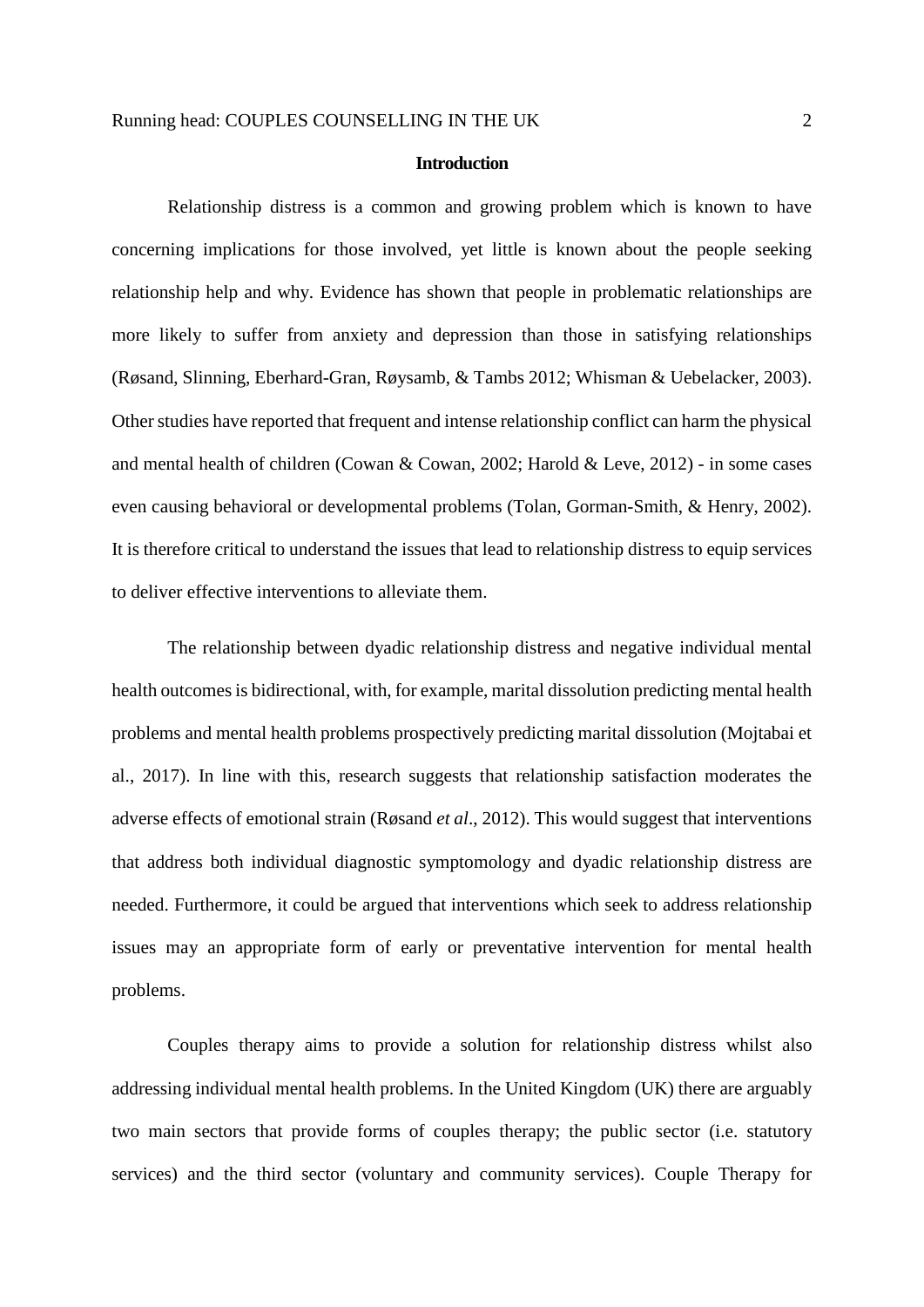# **Introduction**

Relationship distress is a common and growing problem which is known to have concerning implications for those involved, yet little is known about the people seeking relationship help and why. Evidence has shown that people in problematic relationships are more likely to suffer from anxiety and depression than those in satisfying relationships (Røsand, Slinning, Eberhard-Gran, Røysamb, & Tambs 2012; Whisman & Uebelacker, 2003). Other studies have reported that frequent and intense relationship conflict can harm the physical and mental health of children (Cowan & Cowan, 2002; Harold & Leve, 2012) - in some cases even causing behavioral or developmental problems (Tolan, Gorman-Smith, & Henry, 2002). It is therefore critical to understand the issues that lead to relationship distress to equip services to deliver effective interventions to alleviate them.

The relationship between dyadic relationship distress and negative individual mental health outcomes is bidirectional, with, for example, marital dissolution predicting mental health problems and mental health problems prospectively predicting marital dissolution (Mojtabai et al., 2017). In line with this, research suggests that relationship satisfaction moderates the adverse effects of emotional strain (Røsand *et al*., 2012). This would suggest that interventions that address both individual diagnostic symptomology and dyadic relationship distress are needed. Furthermore, it could be argued that interventions which seek to address relationship issues may an appropriate form of early or preventative intervention for mental health problems.

Couples therapy aims to provide a solution for relationship distress whilst also addressing individual mental health problems. In the United Kingdom (UK) there are arguably two main sectors that provide forms of couples therapy; the public sector (i.e. statutory services) and the third sector (voluntary and community services). Couple Therapy for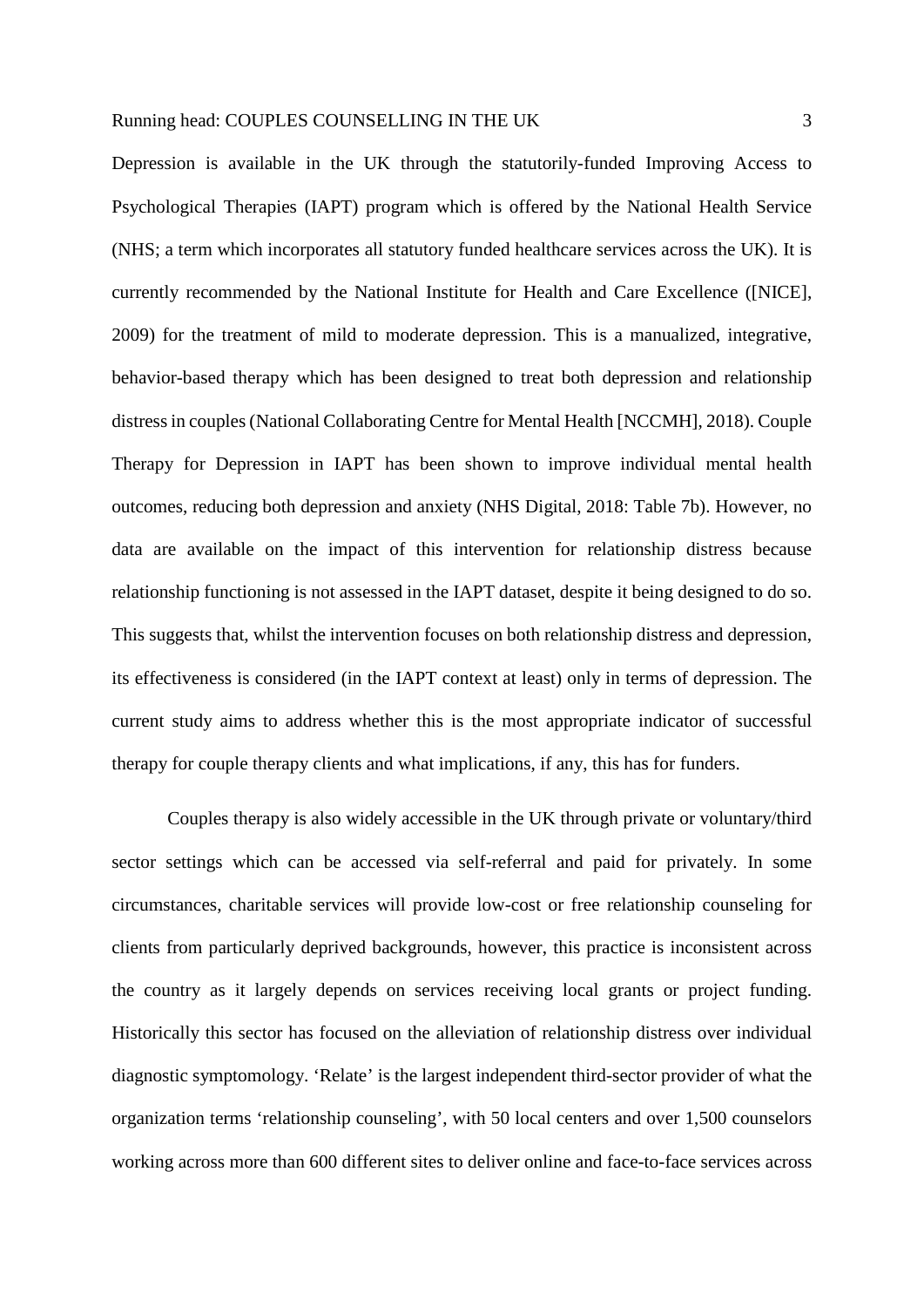Depression is available in the UK through the statutorily-funded Improving Access to Psychological Therapies (IAPT) program which is offered by the National Health Service (NHS; a term which incorporates all statutory funded healthcare services across the UK). It is currently recommended by the National Institute for Health and Care Excellence ([NICE], 2009) for the treatment of mild to moderate depression. This is a manualized, integrative, behavior-based therapy which has been designed to treat both depression and relationship distress in couples (National Collaborating Centre for Mental Health [NCCMH], 2018). Couple Therapy for Depression in IAPT has been shown to improve individual mental health outcomes, reducing both depression and anxiety (NHS Digital, 2018: Table 7b). However, no data are available on the impact of this intervention for relationship distress because relationship functioning is not assessed in the IAPT dataset, despite it being designed to do so. This suggests that, whilst the intervention focuses on both relationship distress and depression, its effectiveness is considered (in the IAPT context at least) only in terms of depression. The current study aims to address whether this is the most appropriate indicator of successful therapy for couple therapy clients and what implications, if any, this has for funders.

Couples therapy is also widely accessible in the UK through private or voluntary/third sector settings which can be accessed via self-referral and paid for privately. In some circumstances, charitable services will provide low-cost or free relationship counseling for clients from particularly deprived backgrounds, however, this practice is inconsistent across the country as it largely depends on services receiving local grants or project funding. Historically this sector has focused on the alleviation of relationship distress over individual diagnostic symptomology. 'Relate' is the largest independent third-sector provider of what the organization terms 'relationship counseling', with 50 local centers and over 1,500 counselors working across more than 600 different sites to deliver online and face-to-face services across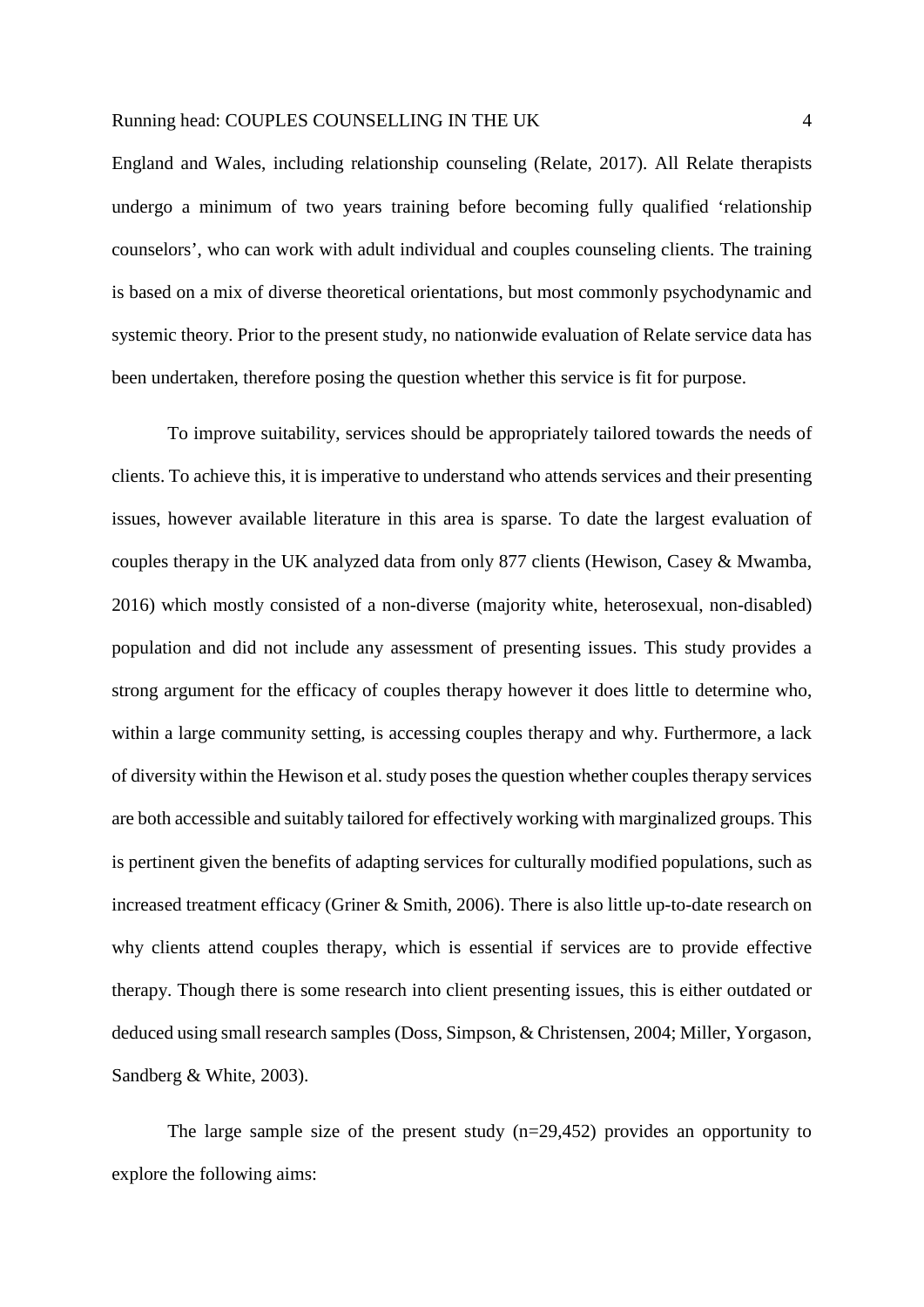England and Wales, including relationship counseling (Relate, 2017). All Relate therapists undergo a minimum of two years training before becoming fully qualified 'relationship counselors', who can work with adult individual and couples counseling clients. The training is based on a mix of diverse theoretical orientations, but most commonly psychodynamic and systemic theory. Prior to the present study, no nationwide evaluation of Relate service data has been undertaken, therefore posing the question whether this service is fit for purpose.

To improve suitability, services should be appropriately tailored towards the needs of clients. To achieve this, it is imperative to understand who attends services and their presenting issues, however available literature in this area is sparse. To date the largest evaluation of couples therapy in the UK analyzed data from only 877 clients (Hewison, Casey & Mwamba, 2016) which mostly consisted of a non-diverse (majority white, heterosexual, non-disabled) population and did not include any assessment of presenting issues. This study provides a strong argument for the efficacy of couples therapy however it does little to determine who, within a large community setting, is accessing couples therapy and why. Furthermore, a lack of diversity within the Hewison et al. study poses the question whether couples therapy services are both accessible and suitably tailored for effectively working with marginalized groups. This is pertinent given the benefits of adapting services for culturally modified populations, such as increased treatment efficacy (Griner & Smith, 2006). There is also little up-to-date research on why clients attend couples therapy, which is essential if services are to provide effective therapy. Though there is some research into client presenting issues, this is either outdated or deduced using small research samples (Doss, Simpson, & Christensen, 2004; Miller, Yorgason, Sandberg & White, 2003).

The large sample size of the present study (n=29,452) provides an opportunity to explore the following aims: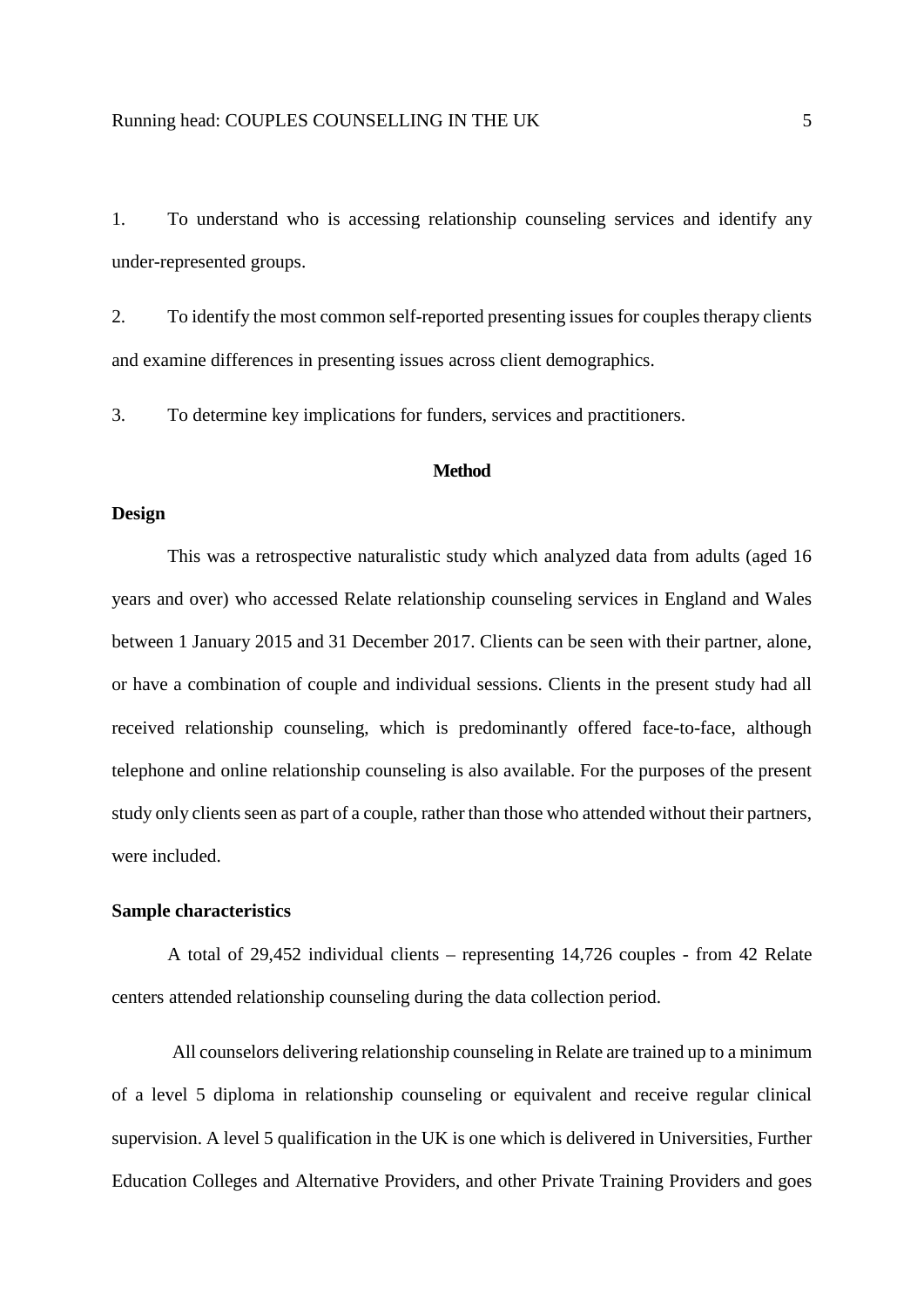1. To understand who is accessing relationship counseling services and identify any under-represented groups.

2. To identify the most common self-reported presenting issues for couples therapy clients and examine differences in presenting issues across client demographics.

3. To determine key implications for funders, services and practitioners.

### **Method**

#### **Design**

This was a retrospective naturalistic study which analyzed data from adults (aged 16 years and over) who accessed Relate relationship counseling services in England and Wales between 1 January 2015 and 31 December 2017. Clients can be seen with their partner, alone, or have a combination of couple and individual sessions. Clients in the present study had all received relationship counseling, which is predominantly offered face-to-face, although telephone and online relationship counseling is also available. For the purposes of the present study only clients seen as part of a couple, rather than those who attended without their partners, were included.

# **Sample characteristics**

A total of 29,452 individual clients – representing 14,726 couples - from 42 Relate centers attended relationship counseling during the data collection period.

All counselors delivering relationship counseling in Relate are trained up to a minimum of a level 5 diploma in relationship counseling or equivalent and receive regular clinical supervision. A level 5 qualification in the UK is one which is delivered in Universities, Further Education Colleges and Alternative Providers, and other Private Training Providers and goes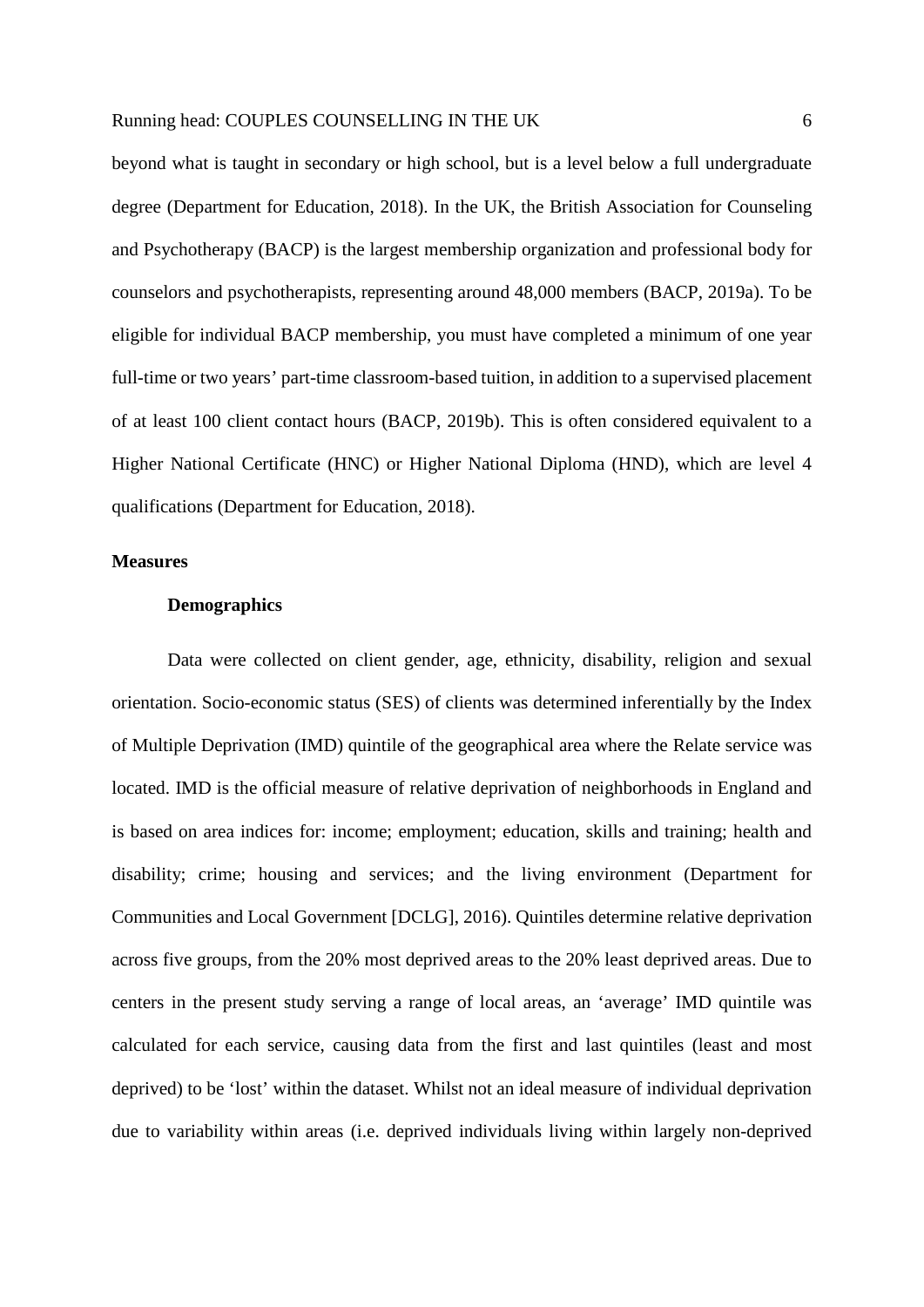beyond what is taught in secondary or high school, but is a level below a full undergraduate degree (Department for Education, 2018). In the UK, the British Association for Counseling and Psychotherapy (BACP) is the largest membership organization and professional body for counselors and psychotherapists, representing around 48,000 members (BACP, 2019a). To be eligible for individual BACP membership, you must have completed a minimum of one year full-time or two years' part-time classroom-based tuition, in addition to a supervised placement of at least 100 client contact hours (BACP, 2019b). This is often considered equivalent to a Higher National Certificate (HNC) or Higher National Diploma (HND), which are level 4 qualifications (Department for Education, 2018).

# **Measures**

# **Demographics**

Data were collected on client gender, age, ethnicity, disability, religion and sexual orientation. Socio-economic status (SES) of clients was determined inferentially by the Index of Multiple Deprivation (IMD) quintile of the geographical area where the Relate service was located. IMD is the official measure of relative deprivation of neighborhoods in England and is based on area indices for: income; employment; education, skills and training; health and disability; crime; housing and services; and the living environment (Department for Communities and Local Government [DCLG], 2016). Quintiles determine relative deprivation across five groups, from the 20% most deprived areas to the 20% least deprived areas. Due to centers in the present study serving a range of local areas, an 'average' IMD quintile was calculated for each service, causing data from the first and last quintiles (least and most deprived) to be 'lost' within the dataset. Whilst not an ideal measure of individual deprivation due to variability within areas (i.e. deprived individuals living within largely non-deprived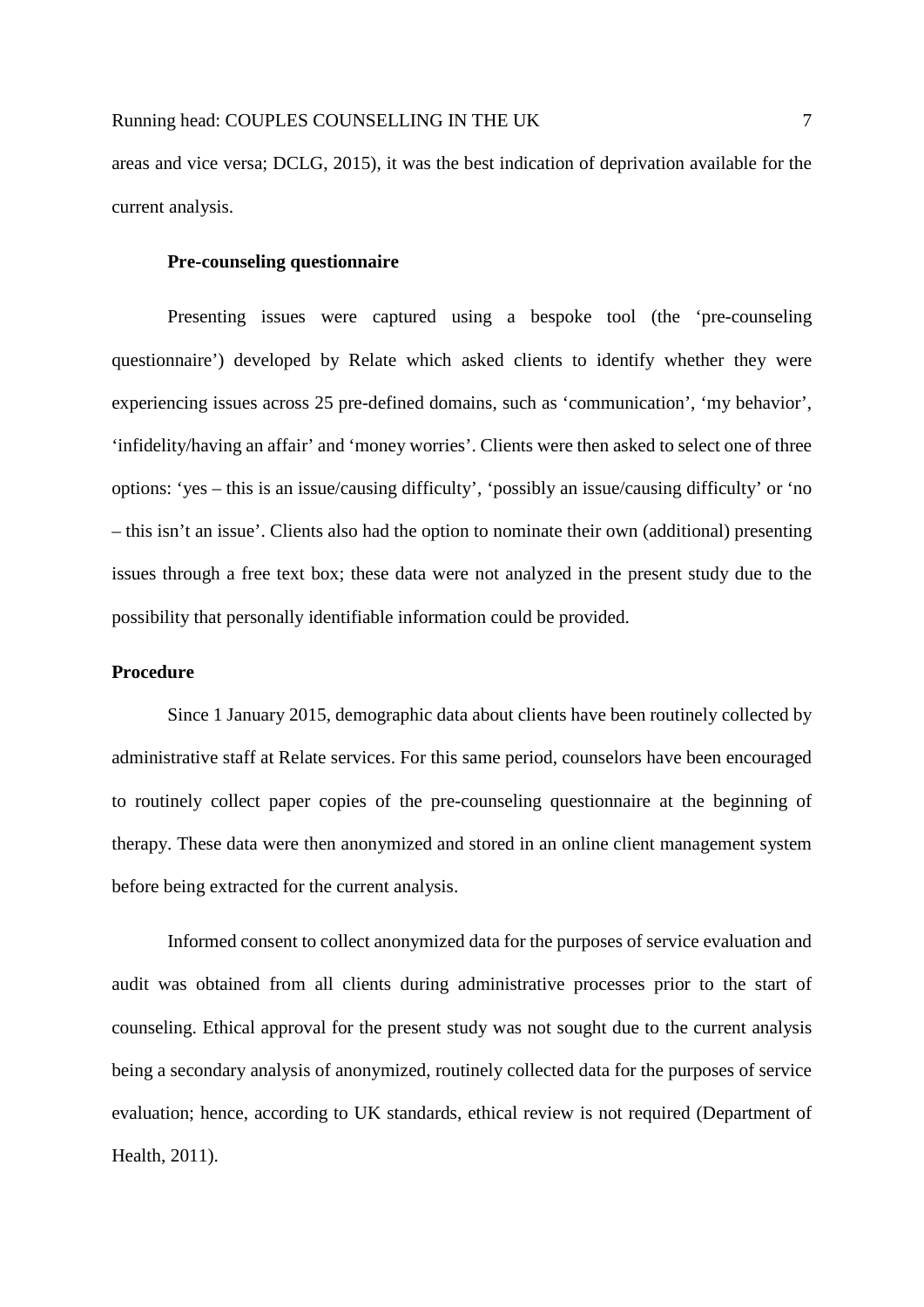areas and vice versa; DCLG, 2015), it was the best indication of deprivation available for the current analysis.

# **Pre-counseling questionnaire**

Presenting issues were captured using a bespoke tool (the 'pre-counseling questionnaire') developed by Relate which asked clients to identify whether they were experiencing issues across 25 pre-defined domains, such as 'communication', 'my behavior', 'infidelity/having an affair' and 'money worries'. Clients were then asked to select one of three options: 'yes – this is an issue/causing difficulty', 'possibly an issue/causing difficulty' or 'no – this isn't an issue'. Clients also had the option to nominate their own (additional) presenting issues through a free text box; these data were not analyzed in the present study due to the possibility that personally identifiable information could be provided.

# **Procedure**

Since 1 January 2015, demographic data about clients have been routinely collected by administrative staff at Relate services. For this same period, counselors have been encouraged to routinely collect paper copies of the pre-counseling questionnaire at the beginning of therapy. These data were then anonymized and stored in an online client management system before being extracted for the current analysis.

Informed consent to collect anonymized data for the purposes of service evaluation and audit was obtained from all clients during administrative processes prior to the start of counseling. Ethical approval for the present study was not sought due to the current analysis being a secondary analysis of anonymized, routinely collected data for the purposes of service evaluation; hence, according to UK standards, ethical review is not required (Department of Health, 2011).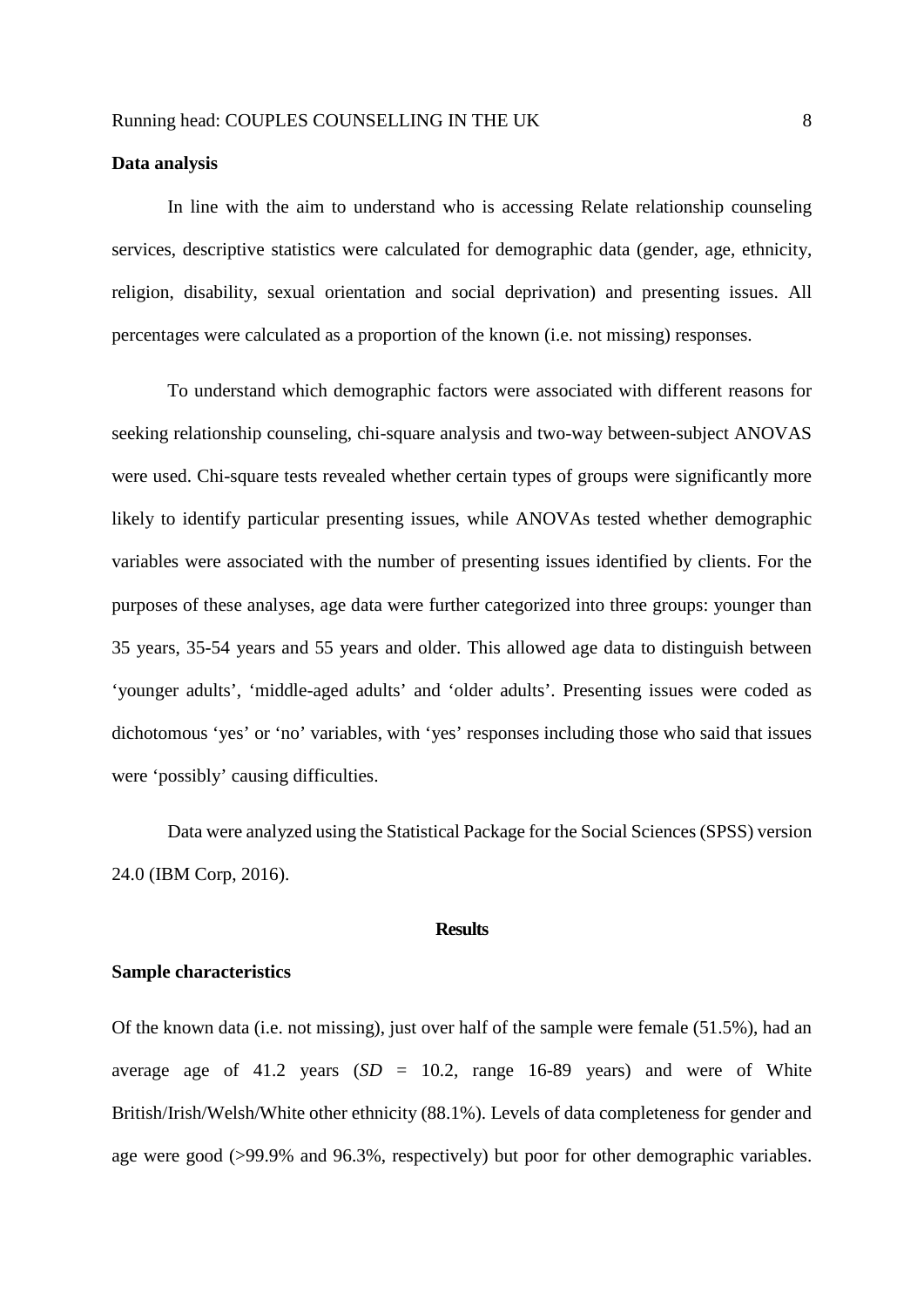# **Data analysis**

In line with the aim to understand who is accessing Relate relationship counseling services, descriptive statistics were calculated for demographic data (gender, age, ethnicity, religion, disability, sexual orientation and social deprivation) and presenting issues. All percentages were calculated as a proportion of the known (i.e. not missing) responses.

To understand which demographic factors were associated with different reasons for seeking relationship counseling, chi-square analysis and two-way between-subject ANOVAS were used. Chi-square tests revealed whether certain types of groups were significantly more likely to identify particular presenting issues, while ANOVAs tested whether demographic variables were associated with the number of presenting issues identified by clients. For the purposes of these analyses, age data were further categorized into three groups: younger than 35 years, 35-54 years and 55 years and older. This allowed age data to distinguish between 'younger adults', 'middle-aged adults' and 'older adults'. Presenting issues were coded as dichotomous 'yes' or 'no' variables, with 'yes' responses including those who said that issues were 'possibly' causing difficulties.

Data were analyzed using the Statistical Package for the Social Sciences (SPSS) version 24.0 (IBM Corp, 2016).

# **Results**

### **Sample characteristics**

Of the known data (i.e. not missing), just over half of the sample were female (51.5%), had an average age of  $41.2$  years  $(SD = 10.2, \text{range } 16-89 \text{ years})$  and were of White British/Irish/Welsh/White other ethnicity (88.1%). Levels of data completeness for gender and age were good (>99.9% and 96.3%, respectively) but poor for other demographic variables.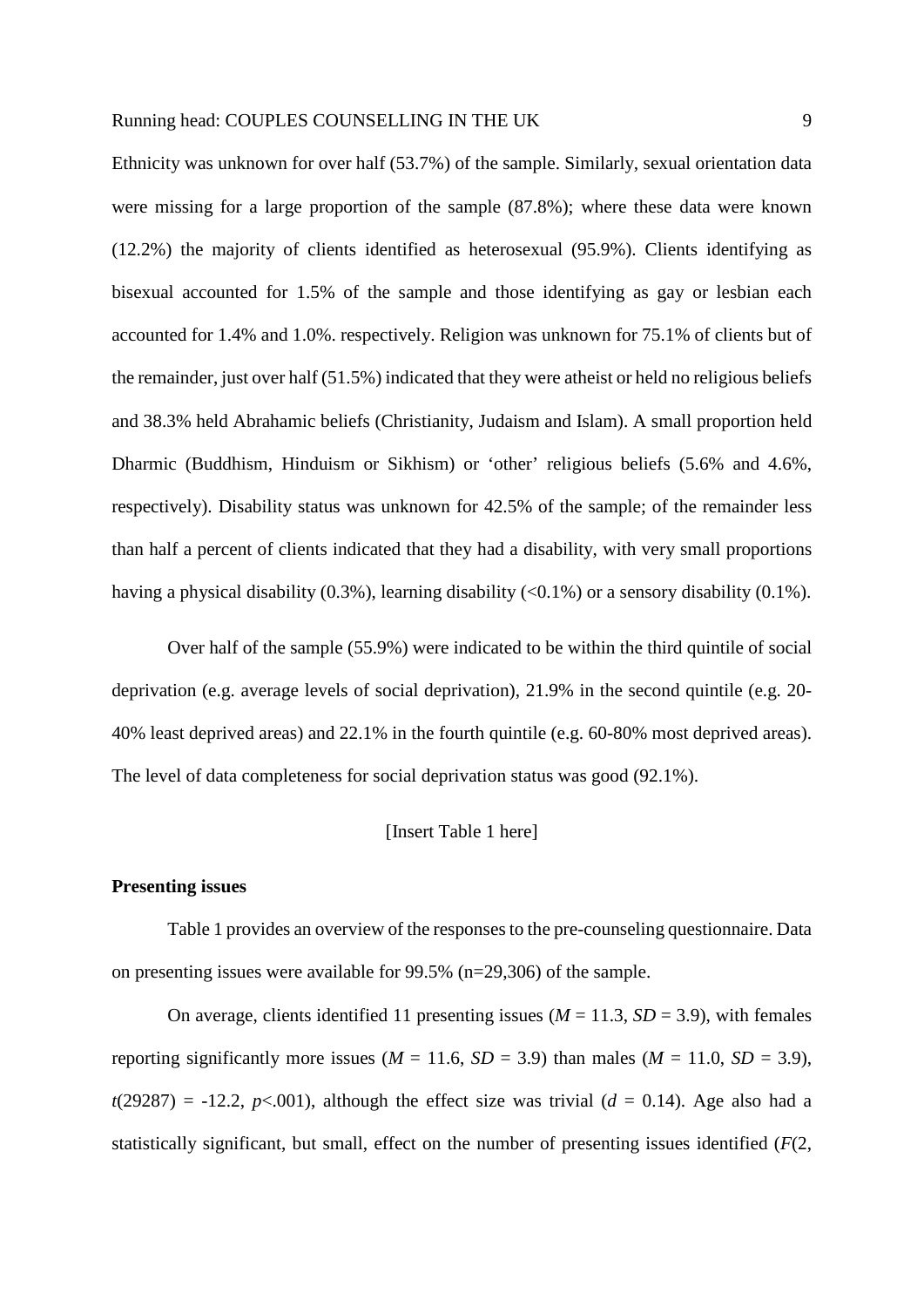Ethnicity was unknown for over half (53.7%) of the sample. Similarly, sexual orientation data were missing for a large proportion of the sample (87.8%); where these data were known (12.2%) the majority of clients identified as heterosexual (95.9%). Clients identifying as bisexual accounted for 1.5% of the sample and those identifying as gay or lesbian each accounted for 1.4% and 1.0%. respectively. Religion was unknown for 75.1% of clients but of the remainder, just over half (51.5%) indicated that they were atheist or held no religious beliefs and 38.3% held Abrahamic beliefs (Christianity, Judaism and Islam). A small proportion held Dharmic (Buddhism, Hinduism or Sikhism) or 'other' religious beliefs (5.6% and 4.6%, respectively). Disability status was unknown for 42.5% of the sample; of the remainder less than half a percent of clients indicated that they had a disability, with very small proportions having a physical disability  $(0.3\%)$ , learning disability  $(0.1\%)$  or a sensory disability  $(0.1\%)$ .

Over half of the sample (55.9%) were indicated to be within the third quintile of social deprivation (e.g. average levels of social deprivation), 21.9% in the second quintile (e.g. 20- 40% least deprived areas) and 22.1% in the fourth quintile (e.g. 60-80% most deprived areas). The level of data completeness for social deprivation status was good (92.1%).

# [Insert Table 1 here]

#### **Presenting issues**

Table 1 provides an overview of the responses to the pre-counseling questionnaire. Data on presenting issues were available for 99.5% (n=29,306) of the sample.

On average, clients identified 11 presenting issues  $(M = 11.3, SD = 3.9)$ , with females reporting significantly more issues ( $M = 11.6$ ,  $SD = 3.9$ ) than males ( $M = 11.0$ ,  $SD = 3.9$ ),  $t(29287) = -12.2$ ,  $p<0.001$ ), although the effect size was trivial ( $d = 0.14$ ). Age also had a statistically significant, but small, effect on the number of presenting issues identified (*F*(2,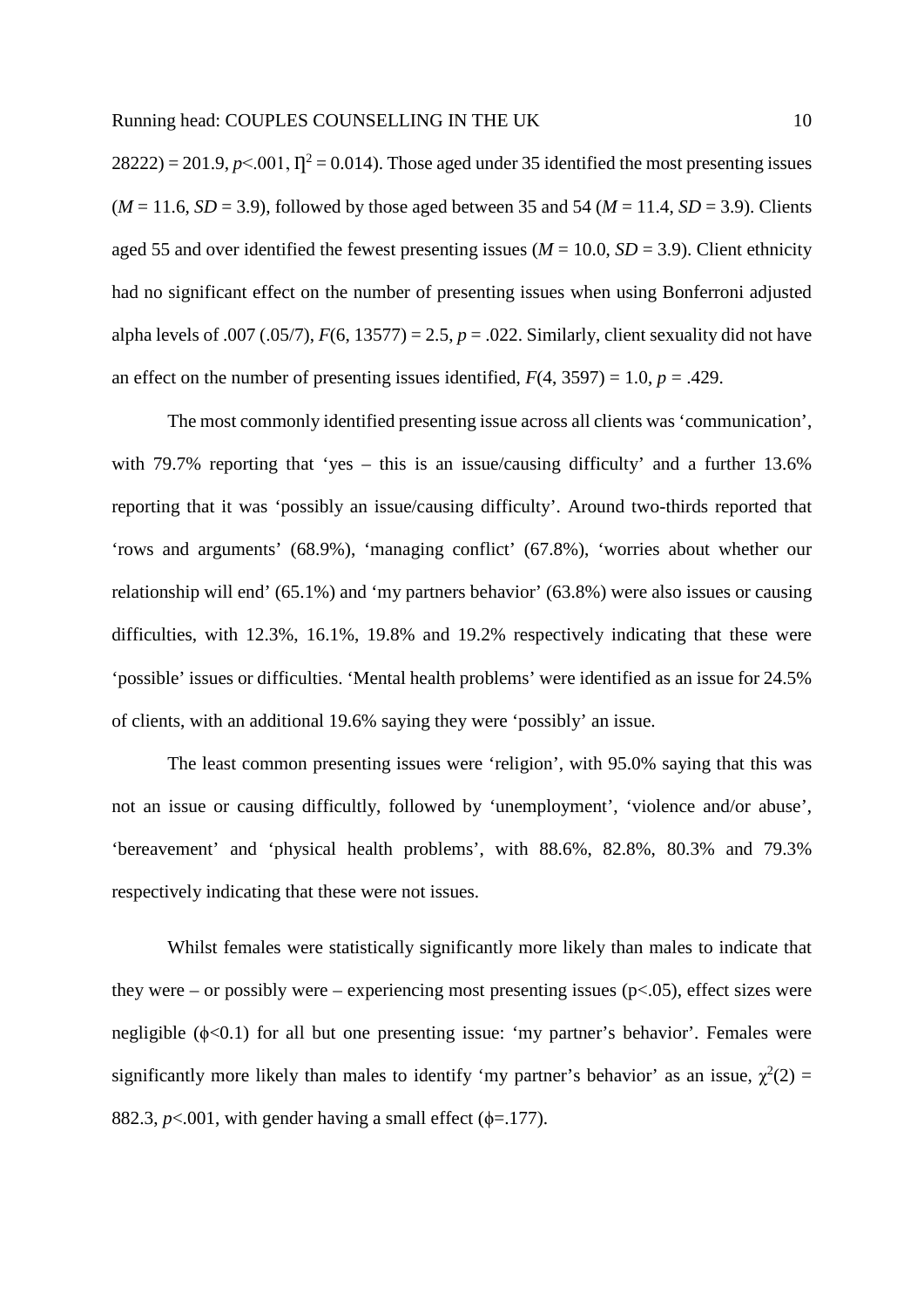$28222$ ) = 201.9,  $p<.001$ ,  $\Gamma^2$  = 0.014). Those aged under 35 identified the most presenting issues  $(M = 11.6, SD = 3.9)$ , followed by those aged between 35 and 54  $(M = 11.4, SD = 3.9)$ . Clients aged 55 and over identified the fewest presenting issues ( $M = 10.0$ ,  $SD = 3.9$ ). Client ethnicity had no significant effect on the number of presenting issues when using Bonferroni adjusted alpha levels of .007 (.05/7),  $F(6, 13577) = 2.5$ ,  $p = .022$ . Similarly, client sexuality did not have an effect on the number of presenting issues identified,  $F(4, 3597) = 1.0$ ,  $p = .429$ .

The most commonly identified presenting issue across all clients was 'communication', with 79.7% reporting that 'yes – this is an issue/causing difficulty' and a further 13.6% reporting that it was 'possibly an issue/causing difficulty'. Around two-thirds reported that 'rows and arguments' (68.9%), 'managing conflict' (67.8%), 'worries about whether our relationship will end' (65.1%) and 'my partners behavior' (63.8%) were also issues or causing difficulties, with 12.3%, 16.1%, 19.8% and 19.2% respectively indicating that these were 'possible' issues or difficulties. 'Mental health problems' were identified as an issue for 24.5% of clients, with an additional 19.6% saying they were 'possibly' an issue.

The least common presenting issues were 'religion', with 95.0% saying that this was not an issue or causing difficultly, followed by 'unemployment', 'violence and/or abuse', 'bereavement' and 'physical health problems', with 88.6%, 82.8%, 80.3% and 79.3% respectively indicating that these were not issues.

Whilst females were statistically significantly more likely than males to indicate that they were – or possibly were – experiencing most presenting issues ( $p<0.05$ ), effect sizes were negligible  $(\phi < 0.1)$  for all but one presenting issue: 'my partner's behavior'. Females were significantly more likely than males to identify 'my partner's behavior' as an issue,  $\chi^2(2)$  = 882.3,  $p<.001$ , with gender having a small effect ( $\phi$ =.177).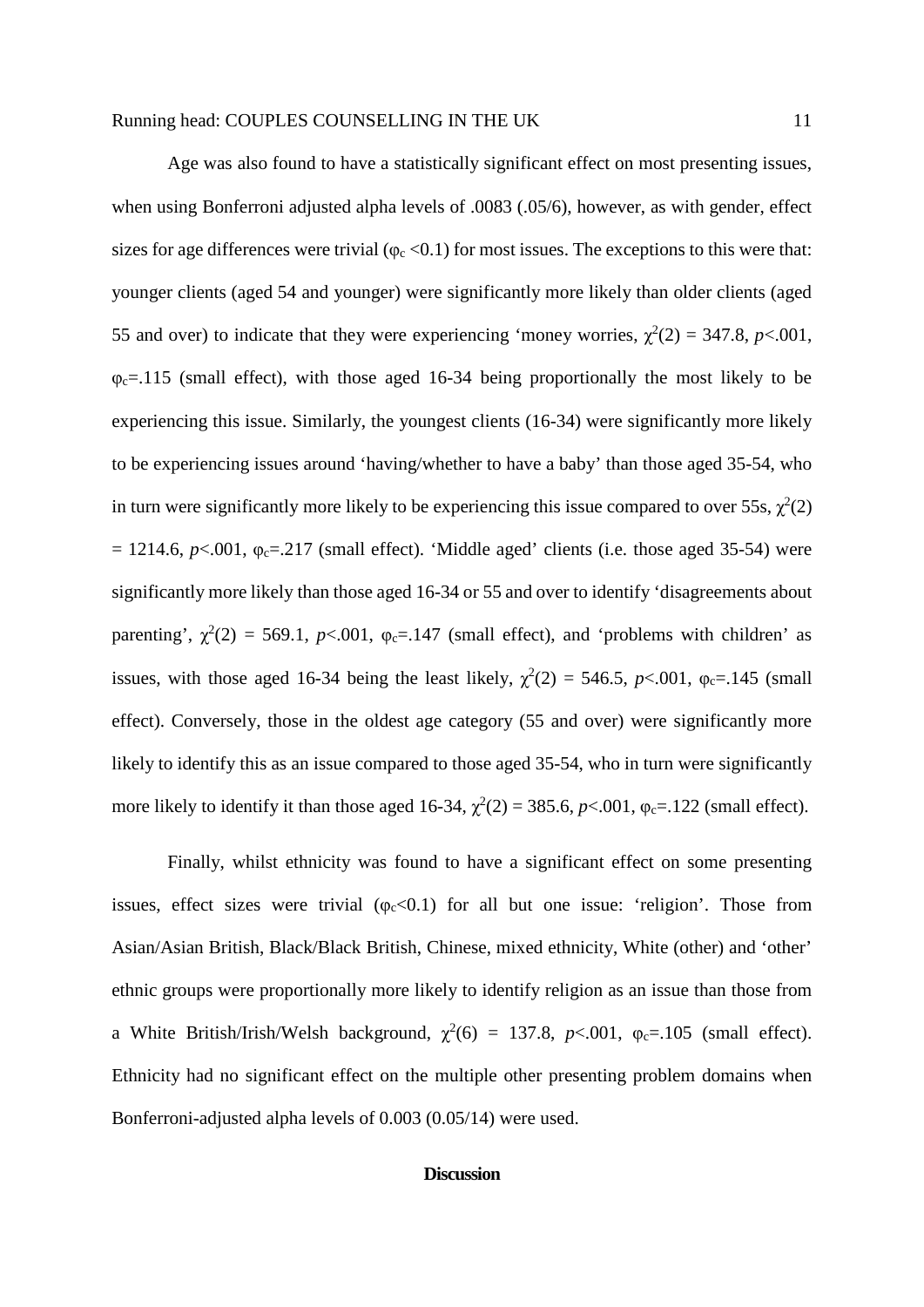Age was also found to have a statistically significant effect on most presenting issues, when using Bonferroni adjusted alpha levels of .0083 (.05/6), however, as with gender, effect sizes for age differences were trivial ( $\varphi_c$  < 0.1) for most issues. The exceptions to this were that: younger clients (aged 54 and younger) were significantly more likely than older clients (aged 55 and over) to indicate that they were experiencing 'money worries,  $\chi^2(2) = 347.8$ , *p*<.001,  $\varphi_c = 0.115$  (small effect), with those aged 16-34 being proportionally the most likely to be experiencing this issue. Similarly, the youngest clients (16-34) were significantly more likely to be experiencing issues around 'having/whether to have a baby' than those aged 35-54, who in turn were significantly more likely to be experiencing this issue compared to over 55s,  $\chi^2(2)$  $= 1214.6$ ,  $p<.001$ ,  $\varphi_c = 217$  (small effect). 'Middle aged' clients (i.e. those aged 35-54) were significantly more likely than those aged 16-34 or 55 and over to identify 'disagreements about parenting',  $\chi^2(2) = 569.1$ ,  $p < .001$ ,  $\varphi_c = .147$  (small effect), and 'problems with children' as issues, with those aged 16-34 being the least likely,  $\chi^2(2) = 546.5$ ,  $p<.001$ ,  $\varphi_c = .145$  (small effect). Conversely, those in the oldest age category (55 and over) were significantly more likely to identify this as an issue compared to those aged 35-54, who in turn were significantly more likely to identify it than those aged 16-34,  $\chi^2(2) = 385.6$ ,  $p < .001$ ,  $\varphi_c = .122$  (small effect).

Finally, whilst ethnicity was found to have a significant effect on some presenting issues, effect sizes were trivial  $(\varphi_c<0.1)$  for all but one issue: 'religion'. Those from Asian/Asian British, Black/Black British, Chinese, mixed ethnicity, White (other) and 'other' ethnic groups were proportionally more likely to identify religion as an issue than those from a White British/Irish/Welsh background,  $\chi^2(6) = 137.8$ ,  $p < .001$ ,  $\varphi_c = .105$  (small effect). Ethnicity had no significant effect on the multiple other presenting problem domains when Bonferroni-adjusted alpha levels of 0.003 (0.05/14) were used.

# **Discussion**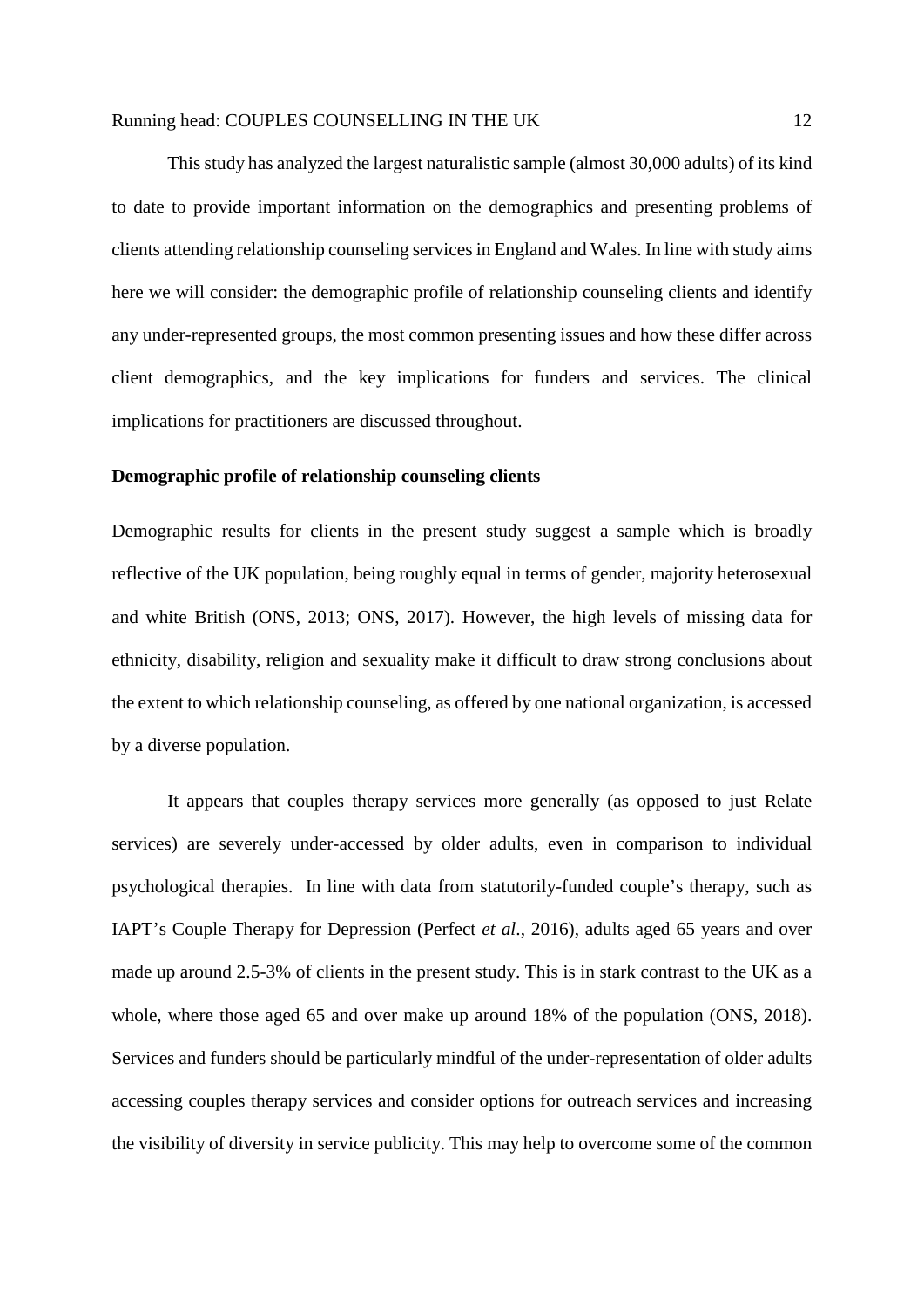This study has analyzed the largest naturalistic sample (almost 30,000 adults) of its kind to date to provide important information on the demographics and presenting problems of clients attending relationship counseling services in England and Wales. In line with study aims here we will consider: the demographic profile of relationship counseling clients and identify any under-represented groups, the most common presenting issues and how these differ across client demographics, and the key implications for funders and services. The clinical implications for practitioners are discussed throughout.

# **Demographic profile of relationship counseling clients**

Demographic results for clients in the present study suggest a sample which is broadly reflective of the UK population, being roughly equal in terms of gender, majority heterosexual and white British (ONS, 2013; ONS, 2017). However, the high levels of missing data for ethnicity, disability, religion and sexuality make it difficult to draw strong conclusions about the extent to which relationship counseling, as offered by one national organization, is accessed by a diverse population.

It appears that couples therapy services more generally (as opposed to just Relate services) are severely under-accessed by older adults, even in comparison to individual psychological therapies. In line with data from statutorily-funded couple's therapy, such as IAPT's Couple Therapy for Depression (Perfect *et al*., 2016), adults aged 65 years and over made up around 2.5-3% of clients in the present study. This is in stark contrast to the UK as a whole, where those aged 65 and over make up around 18% of the population (ONS, 2018). Services and funders should be particularly mindful of the under-representation of older adults accessing couples therapy services and consider options for outreach services and increasing the visibility of diversity in service publicity. This may help to overcome some of the common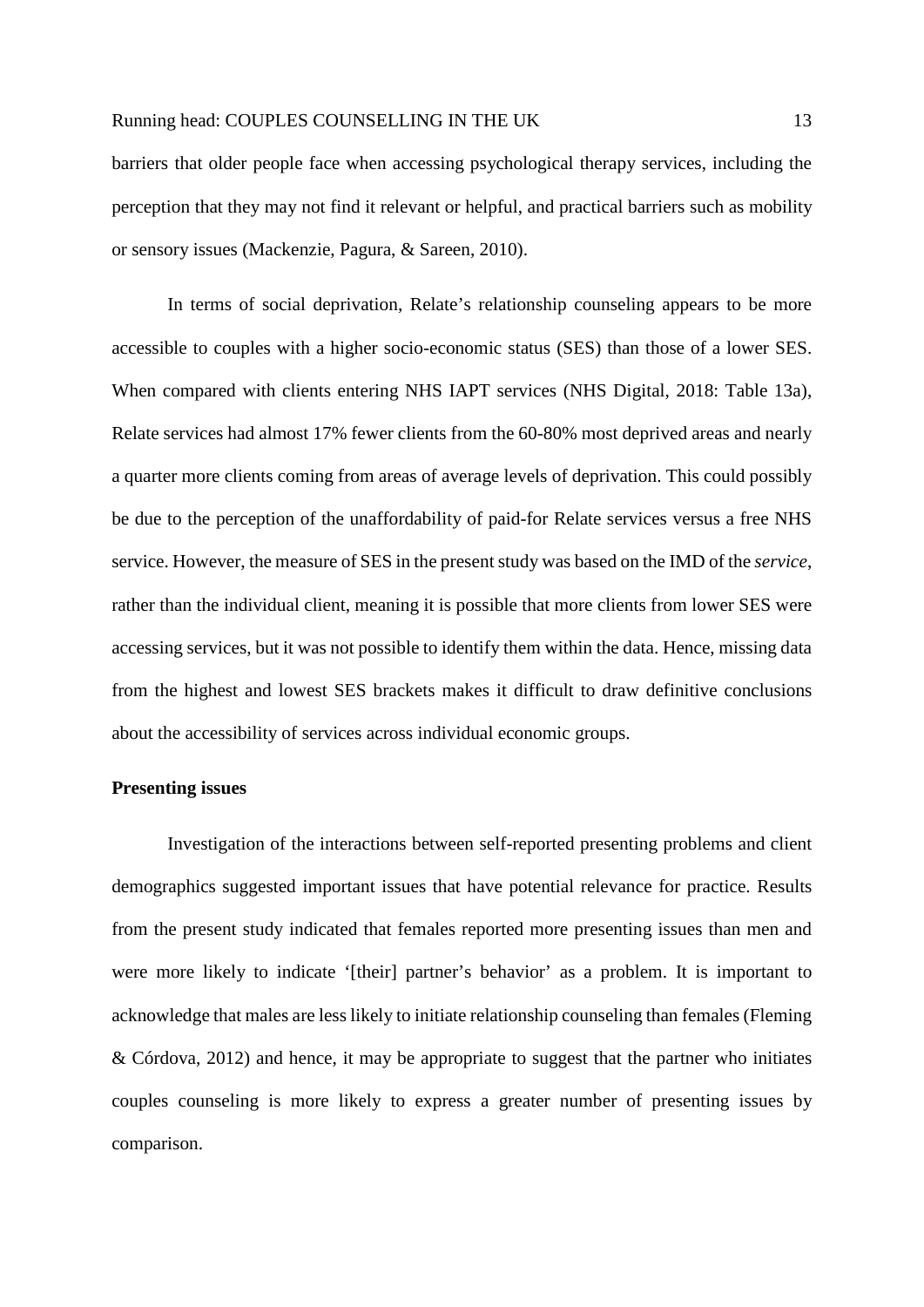barriers that older people face when accessing psychological therapy services, including the perception that they may not find it relevant or helpful, and practical barriers such as mobility or sensory issues (Mackenzie, Pagura, & Sareen, 2010).

In terms of social deprivation, Relate's relationship counseling appears to be more accessible to couples with a higher socio-economic status (SES) than those of a lower SES. When compared with clients entering NHS IAPT services (NHS Digital, 2018: Table 13a), Relate services had almost 17% fewer clients from the 60-80% most deprived areas and nearly a quarter more clients coming from areas of average levels of deprivation. This could possibly be due to the perception of the unaffordability of paid-for Relate services versus a free NHS service. However, the measure of SES in the present study was based on the IMD of the *service*, rather than the individual client, meaning it is possible that more clients from lower SES were accessing services, but it was not possible to identify them within the data. Hence, missing data from the highest and lowest SES brackets makes it difficult to draw definitive conclusions about the accessibility of services across individual economic groups.

# **Presenting issues**

Investigation of the interactions between self-reported presenting problems and client demographics suggested important issues that have potential relevance for practice. Results from the present study indicated that females reported more presenting issues than men and were more likely to indicate '[their] partner's behavior' as a problem. It is important to acknowledge that males are less likely to initiate relationship counseling than females (Fleming & Córdova, 2012) and hence, it may be appropriate to suggest that the partner who initiates couples counseling is more likely to express a greater number of presenting issues by comparison.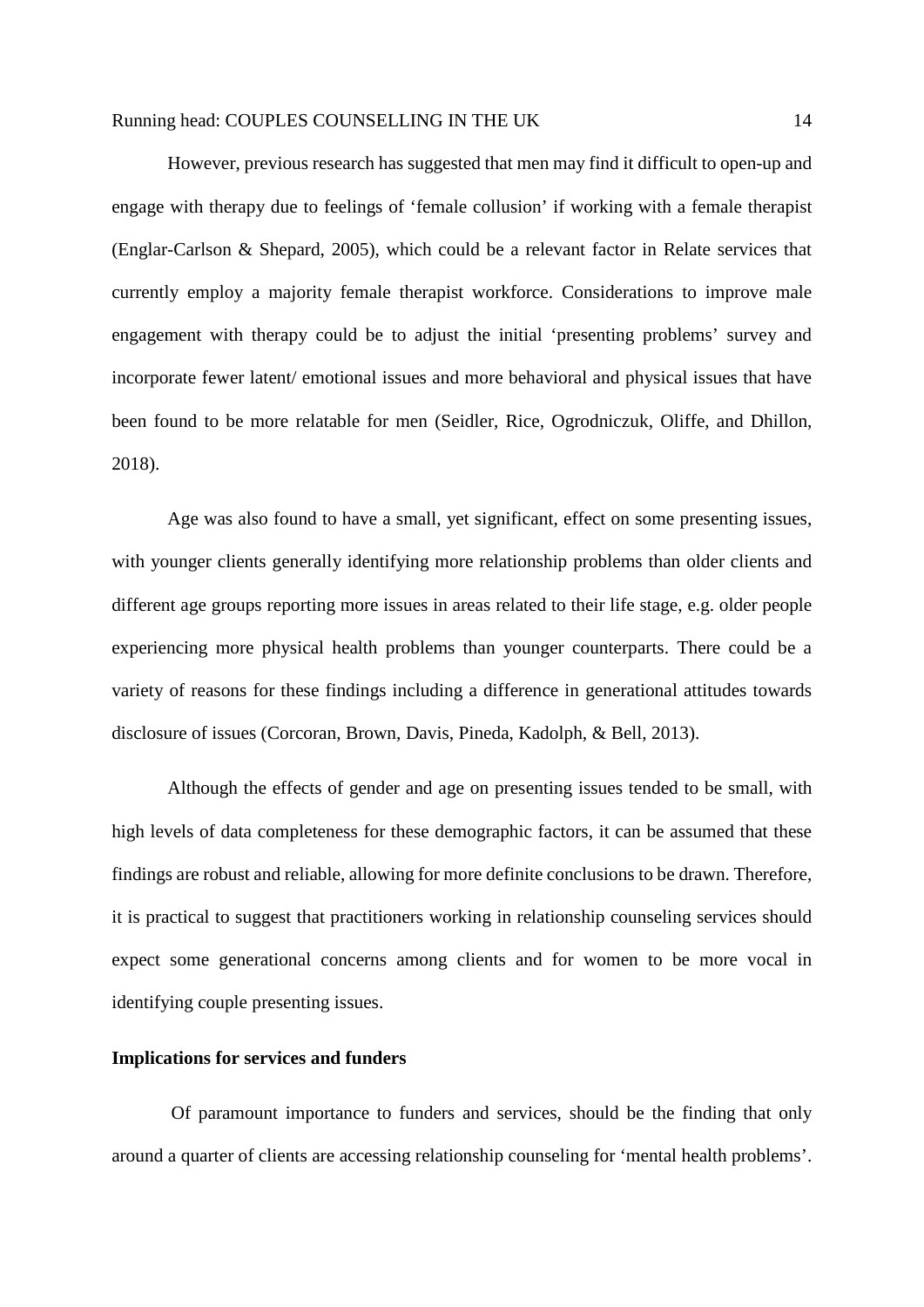However, previous research has suggested that men may find it difficult to open-up and engage with therapy due to feelings of 'female collusion' if working with a female therapist (Englar-Carlson & Shepard, 2005), which could be a relevant factor in Relate services that currently employ a majority female therapist workforce. Considerations to improve male engagement with therapy could be to adjust the initial 'presenting problems' survey and incorporate fewer latent/ emotional issues and more behavioral and physical issues that have been found to be more relatable for men (Seidler, Rice, Ogrodniczuk, Oliffe, and Dhillon, 2018).

Age was also found to have a small, yet significant, effect on some presenting issues, with younger clients generally identifying more relationship problems than older clients and different age groups reporting more issues in areas related to their life stage, e.g. older people experiencing more physical health problems than younger counterparts. There could be a variety of reasons for these findings including a difference in generational attitudes towards disclosure of issues (Corcoran, Brown, Davis, Pineda, Kadolph, & Bell, 2013).

Although the effects of gender and age on presenting issues tended to be small, with high levels of data completeness for these demographic factors, it can be assumed that these findings are robust and reliable, allowing for more definite conclusions to be drawn. Therefore, it is practical to suggest that practitioners working in relationship counseling services should expect some generational concerns among clients and for women to be more vocal in identifying couple presenting issues.

# **Implications for services and funders**

Of paramount importance to funders and services, should be the finding that only around a quarter of clients are accessing relationship counseling for 'mental health problems'.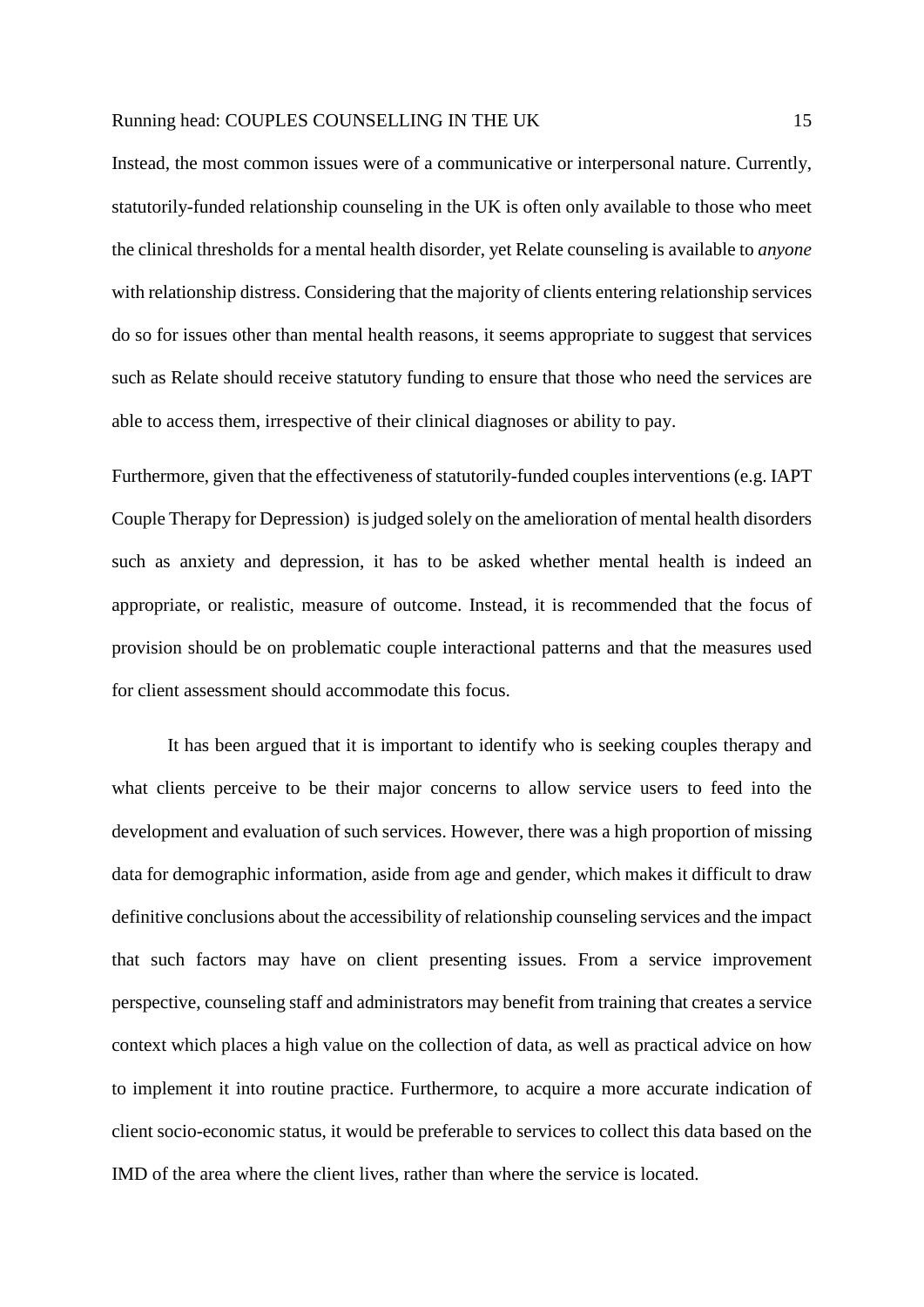Instead, the most common issues were of a communicative or interpersonal nature. Currently, statutorily-funded relationship counseling in the UK is often only available to those who meet the clinical thresholds for a mental health disorder, yet Relate counseling is available to *anyone*  with relationship distress. Considering that the majority of clients entering relationship services do so for issues other than mental health reasons, it seems appropriate to suggest that services such as Relate should receive statutory funding to ensure that those who need the services are able to access them, irrespective of their clinical diagnoses or ability to pay.

Furthermore, given that the effectiveness of statutorily-funded couples interventions (e.g. IAPT Couple Therapy for Depression) is judged solely on the amelioration of mental health disorders such as anxiety and depression, it has to be asked whether mental health is indeed an appropriate, or realistic, measure of outcome. Instead, it is recommended that the focus of provision should be on problematic couple interactional patterns and that the measures used for client assessment should accommodate this focus.

It has been argued that it is important to identify who is seeking couples therapy and what clients perceive to be their major concerns to allow service users to feed into the development and evaluation of such services. However, there was a high proportion of missing data for demographic information, aside from age and gender, which makes it difficult to draw definitive conclusions about the accessibility of relationship counseling services and the impact that such factors may have on client presenting issues. From a service improvement perspective, counseling staff and administrators may benefit from training that creates a service context which places a high value on the collection of data, as well as practical advice on how to implement it into routine practice. Furthermore, to acquire a more accurate indication of client socio-economic status, it would be preferable to services to collect this data based on the IMD of the area where the client lives, rather than where the service is located.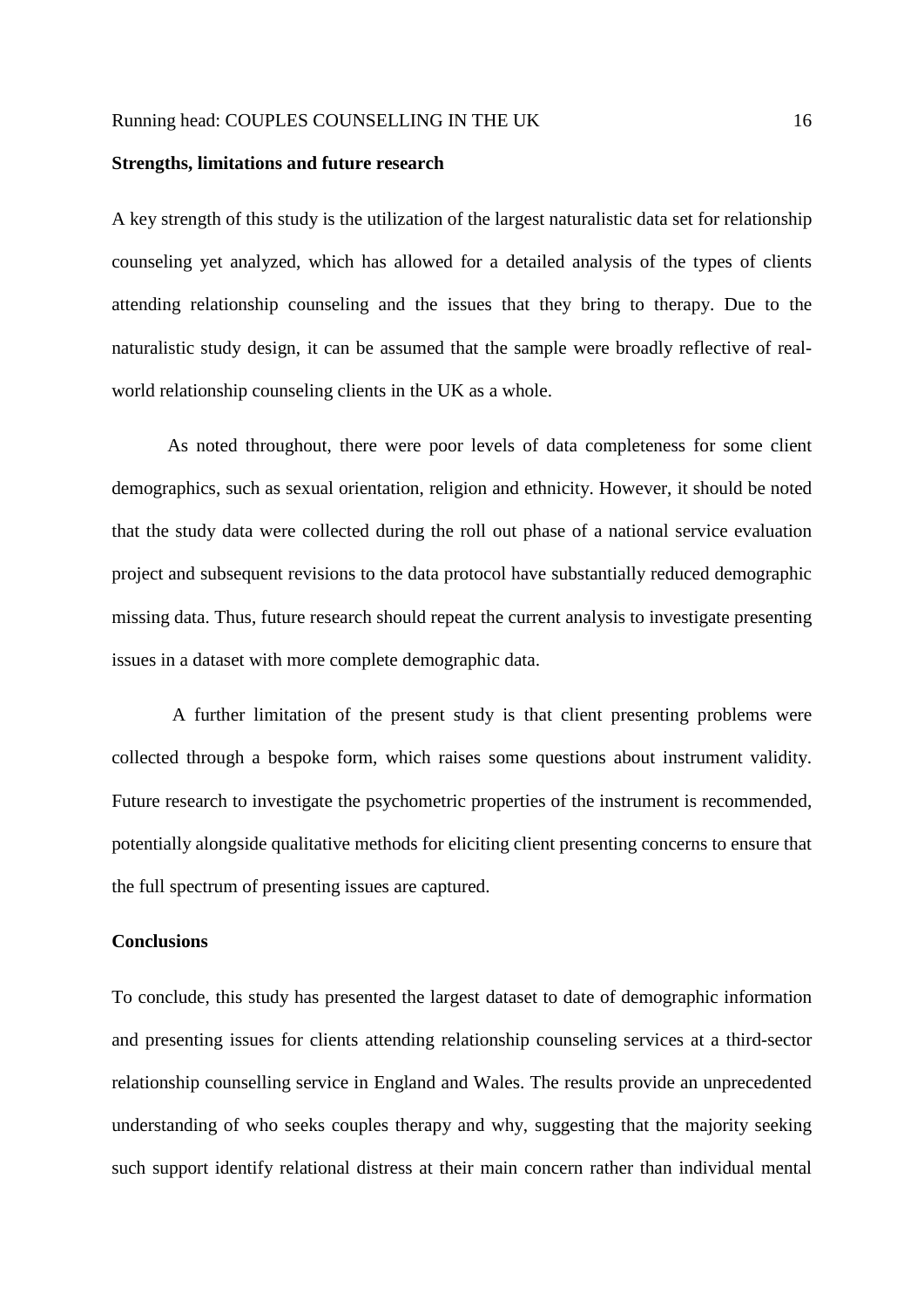# **Strengths, limitations and future research**

A key strength of this study is the utilization of the largest naturalistic data set for relationship counseling yet analyzed, which has allowed for a detailed analysis of the types of clients attending relationship counseling and the issues that they bring to therapy. Due to the naturalistic study design, it can be assumed that the sample were broadly reflective of realworld relationship counseling clients in the UK as a whole.

As noted throughout, there were poor levels of data completeness for some client demographics, such as sexual orientation, religion and ethnicity. However, it should be noted that the study data were collected during the roll out phase of a national service evaluation project and subsequent revisions to the data protocol have substantially reduced demographic missing data. Thus, future research should repeat the current analysis to investigate presenting issues in a dataset with more complete demographic data.

A further limitation of the present study is that client presenting problems were collected through a bespoke form, which raises some questions about instrument validity. Future research to investigate the psychometric properties of the instrument is recommended, potentially alongside qualitative methods for eliciting client presenting concerns to ensure that the full spectrum of presenting issues are captured.

# **Conclusions**

To conclude, this study has presented the largest dataset to date of demographic information and presenting issues for clients attending relationship counseling services at a third-sector relationship counselling service in England and Wales. The results provide an unprecedented understanding of who seeks couples therapy and why, suggesting that the majority seeking such support identify relational distress at their main concern rather than individual mental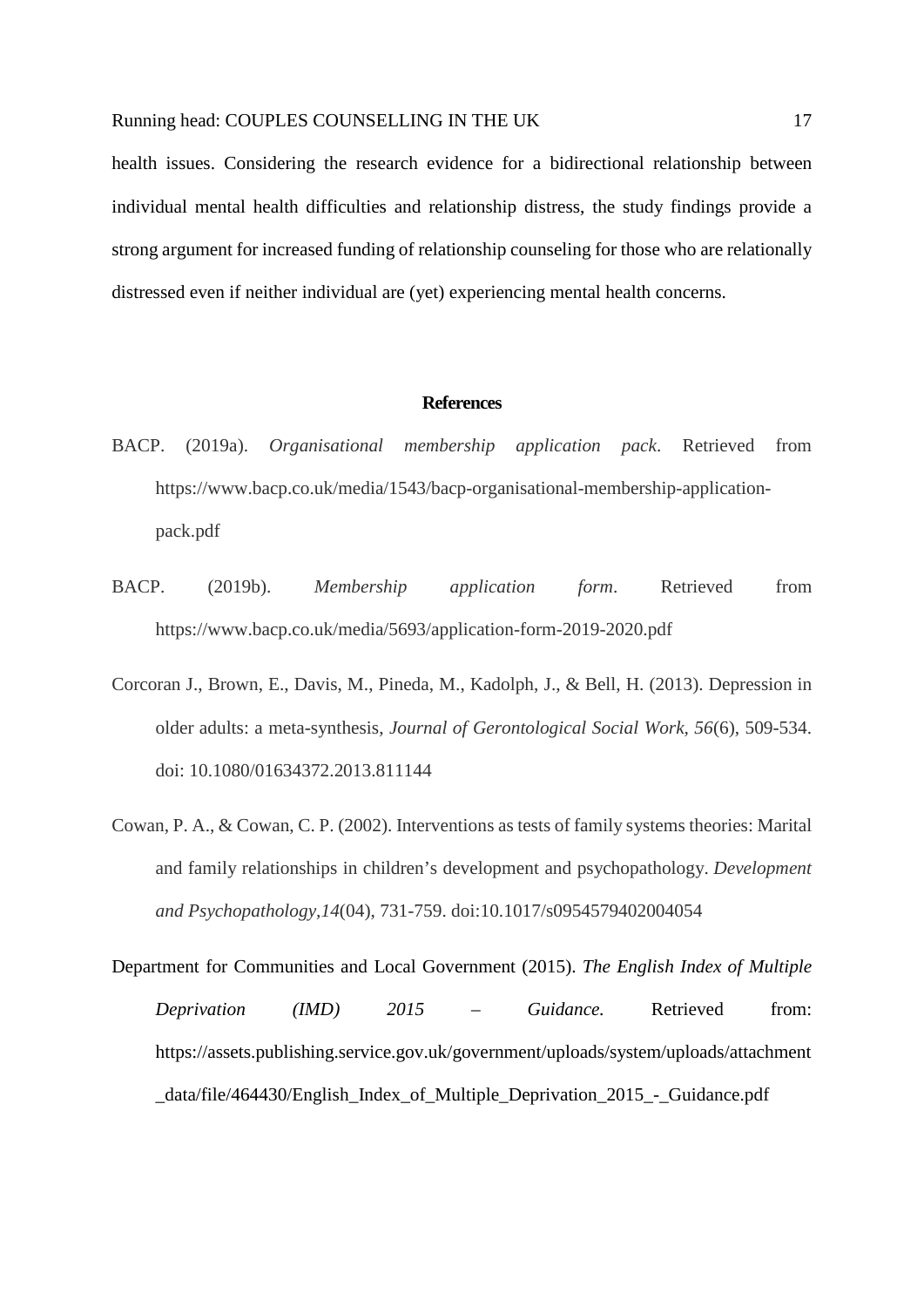health issues. Considering the research evidence for a bidirectional relationship between individual mental health difficulties and relationship distress, the study findings provide a strong argument for increased funding of relationship counseling for those who are relationally distressed even if neither individual are (yet) experiencing mental health concerns.

# **References**

- BACP. (2019a). *Organisational membership application pack*. Retrieved from https://www.bacp.co.uk/media/1543/bacp-organisational-membership-applicationpack.pdf
- BACP. (2019b). *Membership application form*. Retrieved from https://www.bacp.co.uk/media/5693/application-form-2019-2020.pdf
- Corcoran J., Brown, E., Davis, M., Pineda, M., Kadolph, J., & Bell, H. (2013). Depression in older adults: a meta-synthesis, *Journal of Gerontological Social Work, 56*(6), 509-534. doi: 10.1080/01634372.2013.811144
- Cowan, P. A., & Cowan, C. P. (2002). Interventions as tests of family systems theories: Marital and family relationships in children's development and psychopathology. *Development and Psychopathology,14*(04), 731-759. doi:10.1017/s0954579402004054
- Department for Communities and Local Government (2015). *The English Index of Multiple Deprivation (IMD) 2015 – Guidance.* Retrieved from: https://assets.publishing.service.gov.uk/government/uploads/system/uploads/attachment data/file/464430/English Index of Multiple Deprivation 2015 - Guidance.pdf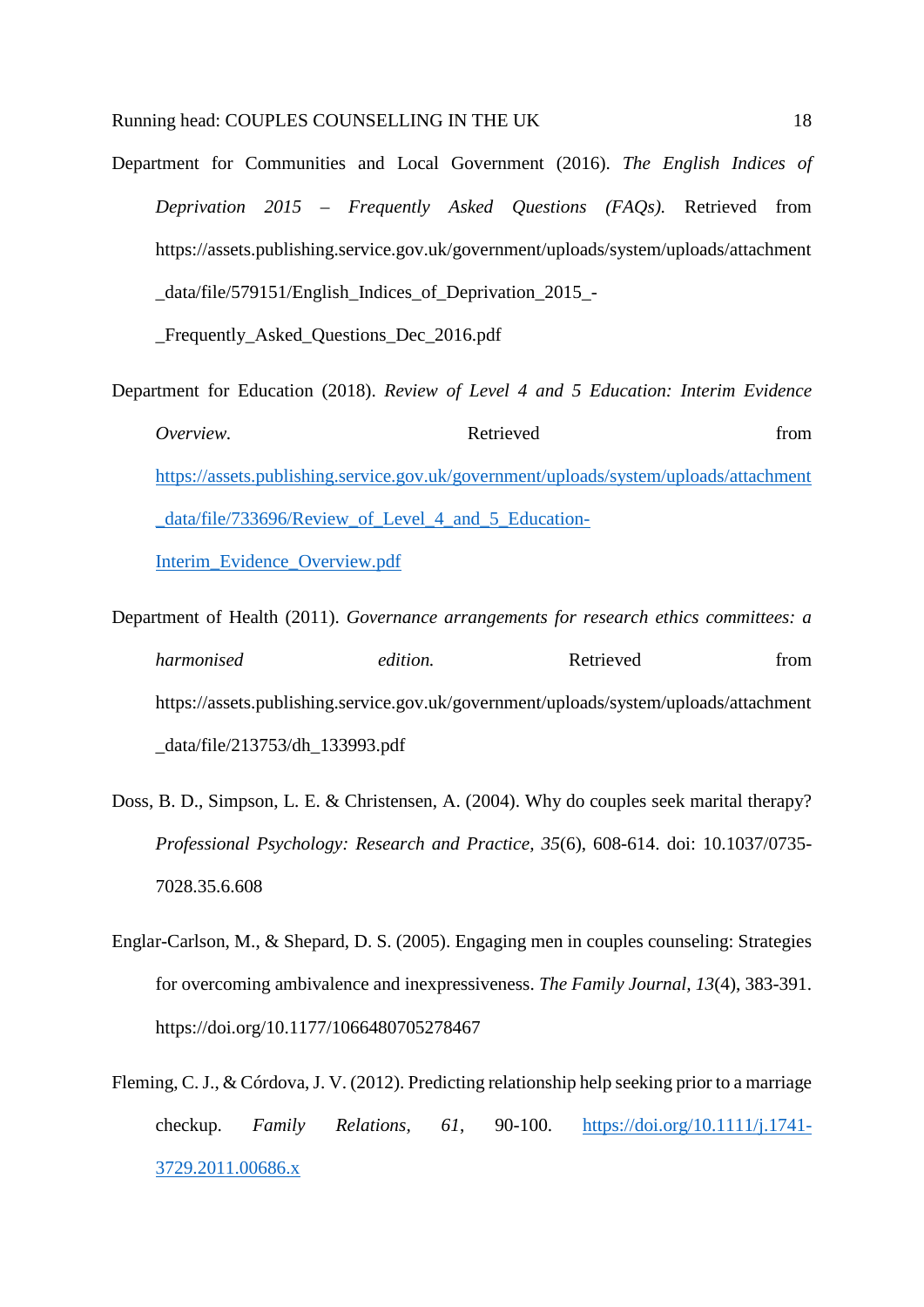Department for Communities and Local Government (2016). *The English Indices of Deprivation 2015 – Frequently Asked Questions (FAQs).* Retrieved from https://assets.publishing.service.gov.uk/government/uploads/system/uploads/attachment \_data/file/579151/English\_Indices\_of\_Deprivation\_2015\_-

\_Frequently\_Asked\_Questions\_Dec\_2016.pdf

- Department for Education (2018). *Review of Level 4 and 5 Education: Interim Evidence Overview.* **Retrieved** from *Retrieved* from [https://assets.publishing.service.gov.uk/government/uploads/system/uploads/attachment](https://assets.publishing.service.gov.uk/government/uploads/system/uploads/attachment_data/file/733696/Review_of_Level_4_and_5_Education-Interim_Evidence_Overview.pdf) [\\_data/file/733696/Review\\_of\\_Level\\_4\\_and\\_5\\_Education-](https://assets.publishing.service.gov.uk/government/uploads/system/uploads/attachment_data/file/733696/Review_of_Level_4_and_5_Education-Interim_Evidence_Overview.pdf)[Interim\\_Evidence\\_Overview.pdf](https://assets.publishing.service.gov.uk/government/uploads/system/uploads/attachment_data/file/733696/Review_of_Level_4_and_5_Education-Interim_Evidence_Overview.pdf)
- Department of Health (2011). *Governance arrangements for research ethics committees: a harmonised edition.* Retrieved **from** https://assets.publishing.service.gov.uk/government/uploads/system/uploads/attachment \_data/file/213753/dh\_133993.pdf
- Doss, B. D., Simpson, L. E. & Christensen, A. (2004). Why do couples seek marital therapy? *Professional Psychology: Research and Practice, 35*(6), 608-614. doi: 10.1037/0735- 7028.35.6.608
- Englar-Carlson, M., & Shepard, D. S. (2005). Engaging men in couples counseling: Strategies for overcoming ambivalence and inexpressiveness. *The Family Journal, 13*(4), 383-391. https://doi.org/10.1177/1066480705278467
- Fleming, C. J., & Córdova, J. V. (2012). Predicting relationship help seeking prior to a marriage checkup. *Family Relations, 61*, 90-100. [https://doi.org/10.1111/j.1741-](https://doi.org/10.1111/j.1741-3729.2011.00686.x) [3729.2011.00686.x](https://doi.org/10.1111/j.1741-3729.2011.00686.x)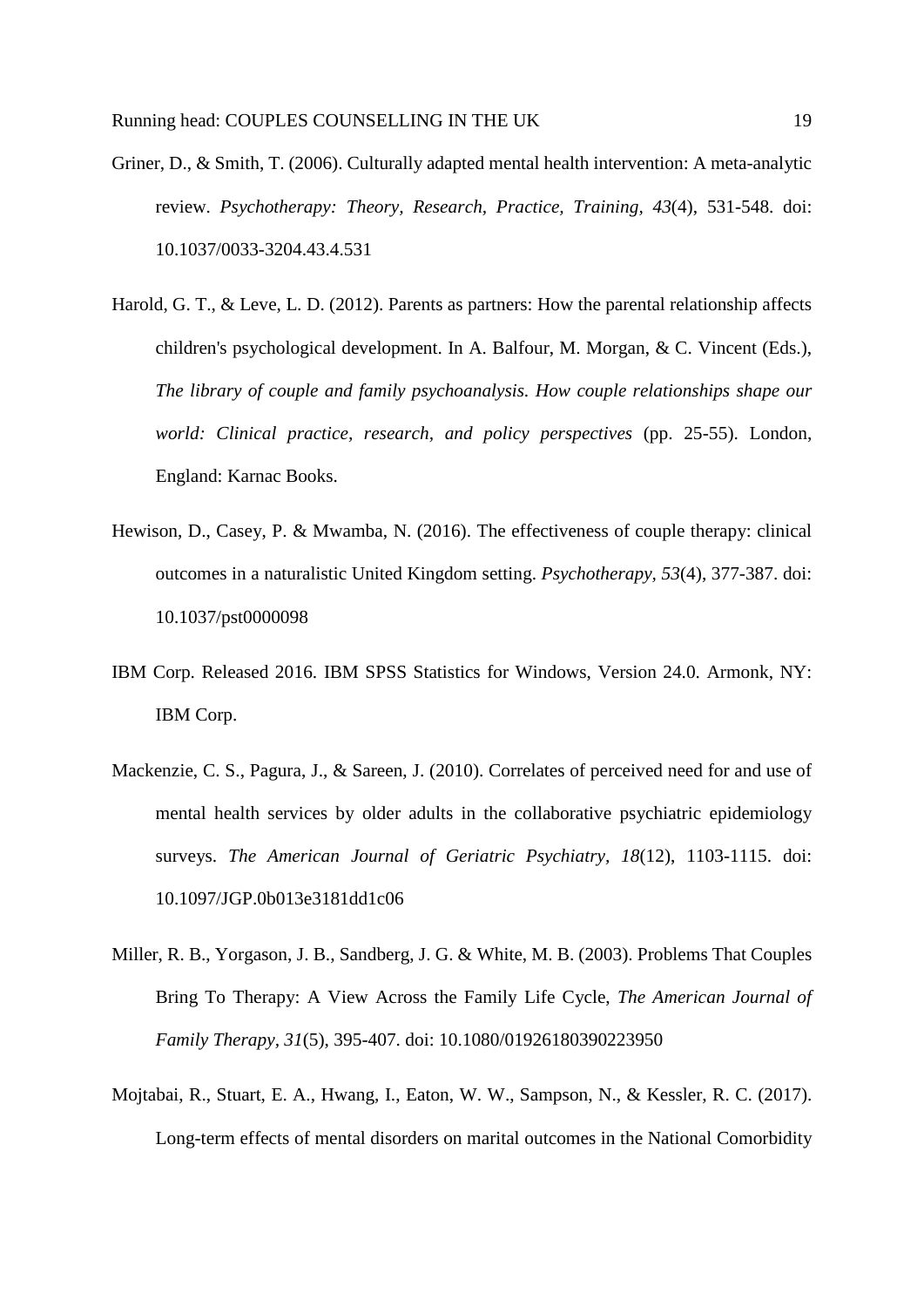- Griner, D., & Smith, T. (2006). Culturally adapted mental health intervention: A meta-analytic review. *Psychotherapy: Theory, Research, Practice, Training, 43*(4), 531-548. doi: 10.1037/0033-3204.43.4.531
- Harold, G. T., & Leve, L. D. (2012). Parents as partners: How the parental relationship affects children's psychological development. In A. Balfour, M. Morgan, & C. Vincent (Eds.), *The library of couple and family psychoanalysis. How couple relationships shape our world: Clinical practice, research, and policy perspectives* (pp. 25-55). London, England: Karnac Books.
- Hewison, D., Casey, P. & Mwamba, N. (2016). The effectiveness of couple therapy: clinical outcomes in a naturalistic United Kingdom setting. *Psychotherapy, 53*(4), 377-387. doi: 10.1037/pst0000098
- IBM Corp. Released 2016. IBM SPSS Statistics for Windows, Version 24.0. Armonk, NY: IBM Corp.
- Mackenzie, C. S., Pagura, J., & Sareen, J. (2010). Correlates of perceived need for and use of mental health services by older adults in the collaborative psychiatric epidemiology surveys. *The American Journal of Geriatric Psychiatry, 18*(12), 1103-1115. doi: 10.1097/JGP.0b013e3181dd1c06
- Miller, R. B., Yorgason, J. B., Sandberg, J. G. & White, M. B. (2003). Problems That Couples Bring To Therapy: A View Across the Family Life Cycle, *The American Journal of Family Therapy, 31*(5), 395-407. doi: 10.1080/01926180390223950
- Mojtabai, R., Stuart, E. A., Hwang, I., Eaton, W. W., Sampson, N., & Kessler, R. C. (2017). Long-term effects of mental disorders on marital outcomes in the National Comorbidity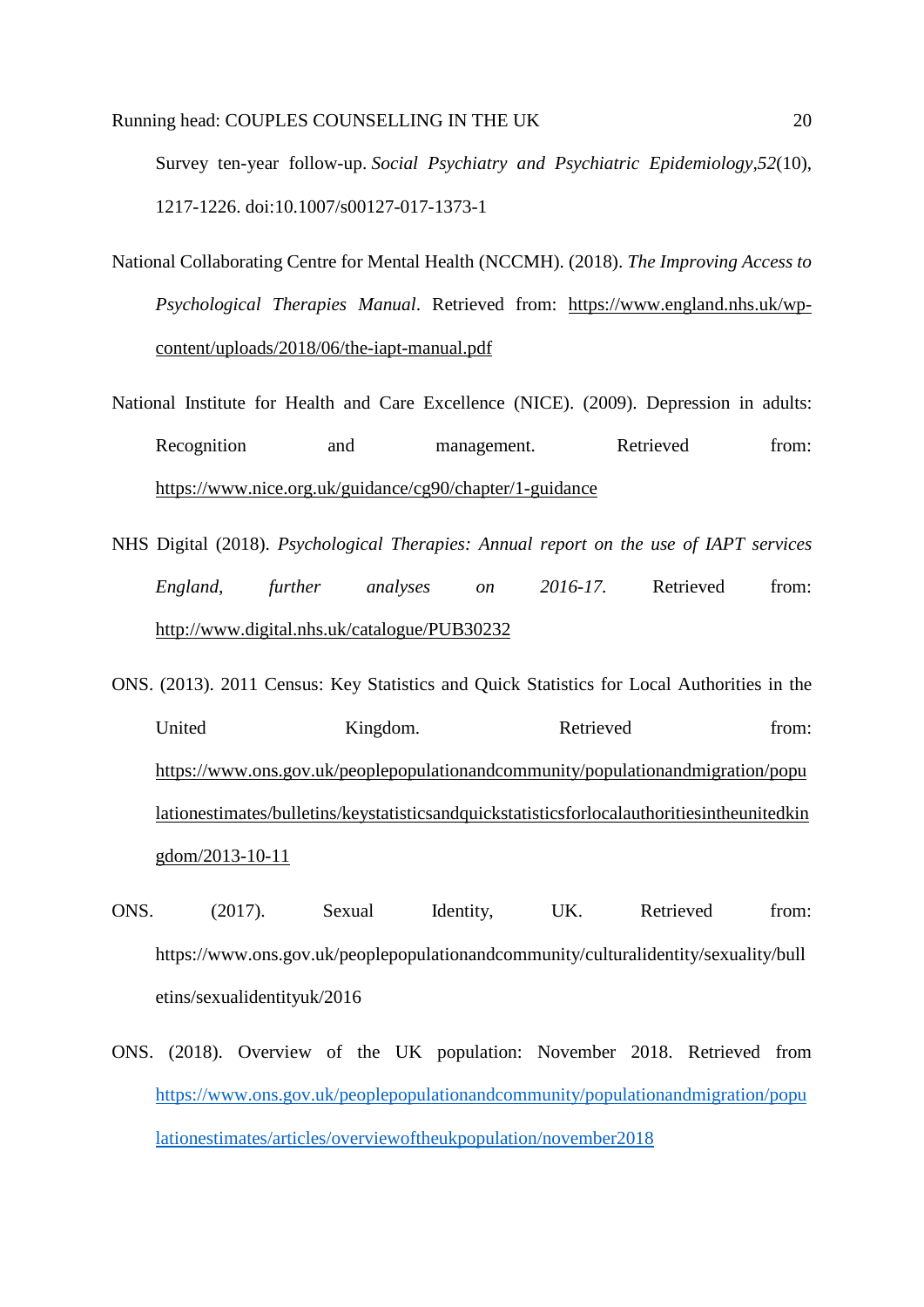Survey ten-year follow-up. *Social Psychiatry and Psychiatric Epidemiology,52*(10), 1217-1226. doi:10.1007/s00127-017-1373-1

- National Collaborating Centre for Mental Health (NCCMH). (2018). *The Improving Access to Psychological Therapies Manual*. Retrieved from: [https://www.england.nhs.uk/wp](https://www.england.nhs.uk/wp-content/uploads/2018/06/the-iapt-manual.pdf)[content/uploads/2018/06/the-iapt-manual.pdf](https://www.england.nhs.uk/wp-content/uploads/2018/06/the-iapt-manual.pdf)
- National Institute for Health and Care Excellence (NICE). (2009). Depression in adults: Recognition and management. Retrieved from: <https://www.nice.org.uk/guidance/cg90/chapter/1-guidance>
- NHS Digital (2018). *Psychological Therapies: Annual report on the use of IAPT services England, further analyses on 2016-17.* Retrieved from: <http://www.digital.nhs.uk/catalogue/PUB30232>
- ONS. (2013). 2011 Census: Key Statistics and Quick Statistics for Local Authorities in the United Kingdom. Retrieved from: [https://www.ons.gov.uk/peoplepopulationandcommunity/populationandmigration/popu](https://www.ons.gov.uk/peoplepopulationandcommunity/populationandmigration/populationestimates/bulletins/keystatisticsandquickstatisticsforlocalauthoritiesintheunitedkingdom/2013-10-11) [lationestimates/bulletins/keystatisticsandquickstatisticsforlocalauthoritiesintheunitedkin](https://www.ons.gov.uk/peoplepopulationandcommunity/populationandmigration/populationestimates/bulletins/keystatisticsandquickstatisticsforlocalauthoritiesintheunitedkingdom/2013-10-11) [gdom/2013-10-11](https://www.ons.gov.uk/peoplepopulationandcommunity/populationandmigration/populationestimates/bulletins/keystatisticsandquickstatisticsforlocalauthoritiesintheunitedkingdom/2013-10-11)
- ONS. (2017). Sexual Identity, UK. Retrieved from: https://www.ons.gov.uk/peoplepopulationandcommunity/culturalidentity/sexuality/bull etins/sexualidentityuk/2016
- ONS. (2018). Overview of the UK population: November 2018. Retrieved from [https://www.ons.gov.uk/peoplepopulationandcommunity/populationandmigration/popu](https://www.ons.gov.uk/peoplepopulationandcommunity/populationandmigration/populationestimates/articles/overviewoftheukpopulation/november2018) [lationestimates/articles/overviewoftheukpopulation/november2018](https://www.ons.gov.uk/peoplepopulationandcommunity/populationandmigration/populationestimates/articles/overviewoftheukpopulation/november2018)